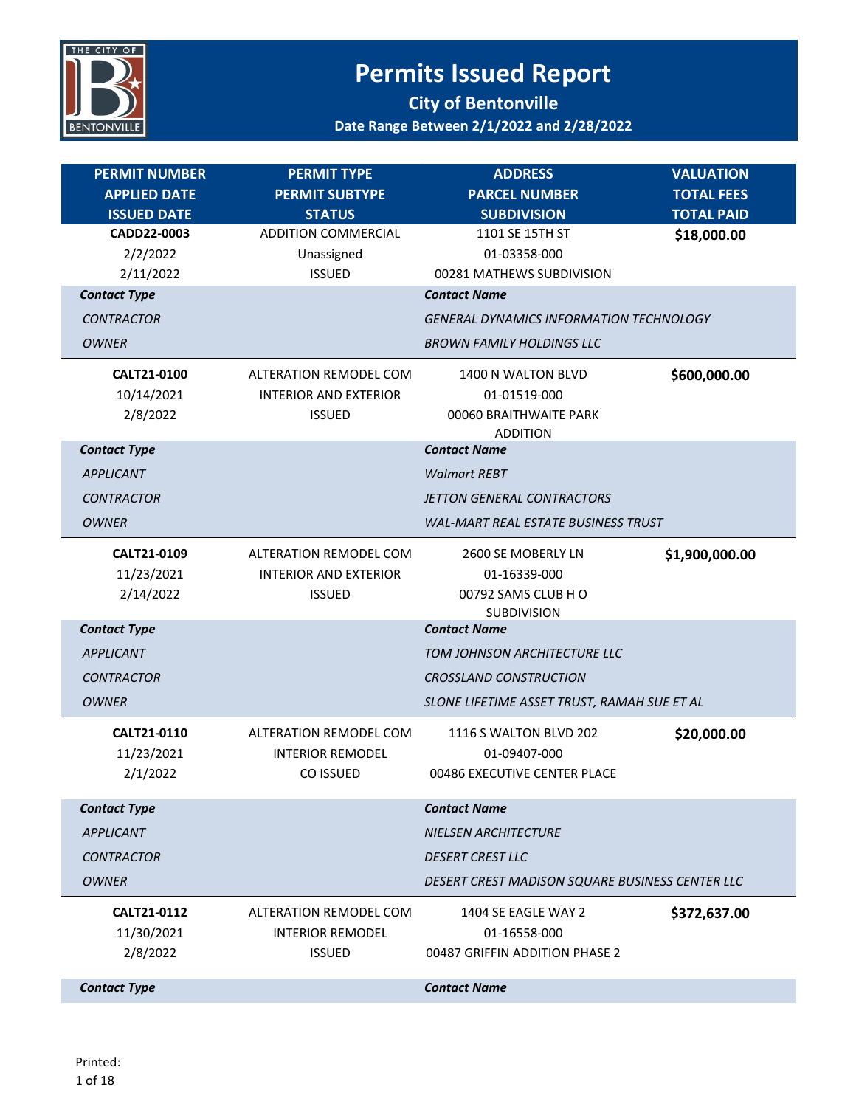

| <b>PERMIT NUMBER</b>             | <b>PERMIT TYPE</b>            | <b>ADDRESS</b>                                   | <b>VALUATION</b>  |
|----------------------------------|-------------------------------|--------------------------------------------------|-------------------|
| <b>APPLIED DATE</b>              | <b>PERMIT SUBTYPE</b>         | <b>PARCEL NUMBER</b>                             | <b>TOTAL FEES</b> |
| <b>ISSUED DATE</b>               | <b>STATUS</b>                 | <b>SUBDIVISION</b>                               | <b>TOTAL PAID</b> |
| CADD22-0003                      | <b>ADDITION COMMERCIAL</b>    | 1101 SE 15TH ST                                  | \$18,000.00       |
| 2/2/2022                         | Unassigned                    | 01-03358-000                                     |                   |
| 2/11/2022<br><b>Contact Type</b> | <b>ISSUED</b>                 | 00281 MATHEWS SUBDIVISION<br><b>Contact Name</b> |                   |
| <b>CONTRACTOR</b>                |                               | <b>GENERAL DYNAMICS INFORMATION TECHNOLOGY</b>   |                   |
|                                  |                               | <b>BROWN FAMILY HOLDINGS LLC</b>                 |                   |
| <b>OWNER</b>                     |                               |                                                  |                   |
| CALT21-0100                      | ALTERATION REMODEL COM        | 1400 N WALTON BLVD                               | \$600,000.00      |
| 10/14/2021                       | <b>INTERIOR AND EXTERIOR</b>  | 01-01519-000                                     |                   |
| 2/8/2022                         | <b>ISSUED</b>                 | 00060 BRAITHWAITE PARK<br><b>ADDITION</b>        |                   |
| <b>Contact Type</b>              |                               | <b>Contact Name</b>                              |                   |
| <b>APPLICANT</b>                 |                               | <b>Walmart REBT</b>                              |                   |
| <b>CONTRACTOR</b>                |                               | JETTON GENERAL CONTRACTORS                       |                   |
| OWNER                            |                               | WAL-MART REAL ESTATE BUSINESS TRUST              |                   |
| CALT21-0109                      | ALTERATION REMODEL COM        | 2600 SE MOBERLY LN                               | \$1,900,000.00    |
| 11/23/2021                       | <b>INTERIOR AND EXTERIOR</b>  | 01-16339-000                                     |                   |
| 2/14/2022                        | <b>ISSUED</b>                 | 00792 SAMS CLUB HO<br><b>SUBDIVISION</b>         |                   |
| <b>Contact Type</b>              |                               | <b>Contact Name</b>                              |                   |
| <b>APPLICANT</b>                 |                               | TOM JOHNSON ARCHITECTURE LLC                     |                   |
| <b>CONTRACTOR</b>                |                               | <b>CROSSLAND CONSTRUCTION</b>                    |                   |
| <b>OWNER</b>                     |                               | SLONE LIFETIME ASSET TRUST, RAMAH SUE ET AL      |                   |
| CALT21-0110                      | <b>ALTERATION REMODEL COM</b> | 1116 S WALTON BLVD 202                           | \$20,000.00       |
| 11/23/2021                       | <b>INTERIOR REMODEL</b>       | 01-09407-000                                     |                   |
| 2/1/2022                         | CO ISSUED                     | 00486 EXECUTIVE CENTER PLACE                     |                   |
| <b>Contact Type</b>              |                               | <b>Contact Name</b>                              |                   |
| <b>APPLICANT</b>                 |                               | <b>NIELSEN ARCHITECTURE</b>                      |                   |
| <b>CONTRACTOR</b>                |                               | <b>DESERT CREST LLC</b>                          |                   |
| <b>OWNER</b>                     |                               | DESERT CREST MADISON SQUARE BUSINESS CENTER LLC  |                   |
| CALT21-0112                      | <b>ALTERATION REMODEL COM</b> | 1404 SE EAGLE WAY 2                              | \$372,637.00      |
| 11/30/2021                       | <b>INTERIOR REMODEL</b>       | 01-16558-000                                     |                   |
| 2/8/2022                         | <b>ISSUED</b>                 | 00487 GRIFFIN ADDITION PHASE 2                   |                   |
| <b>Contact Type</b>              |                               | <b>Contact Name</b>                              |                   |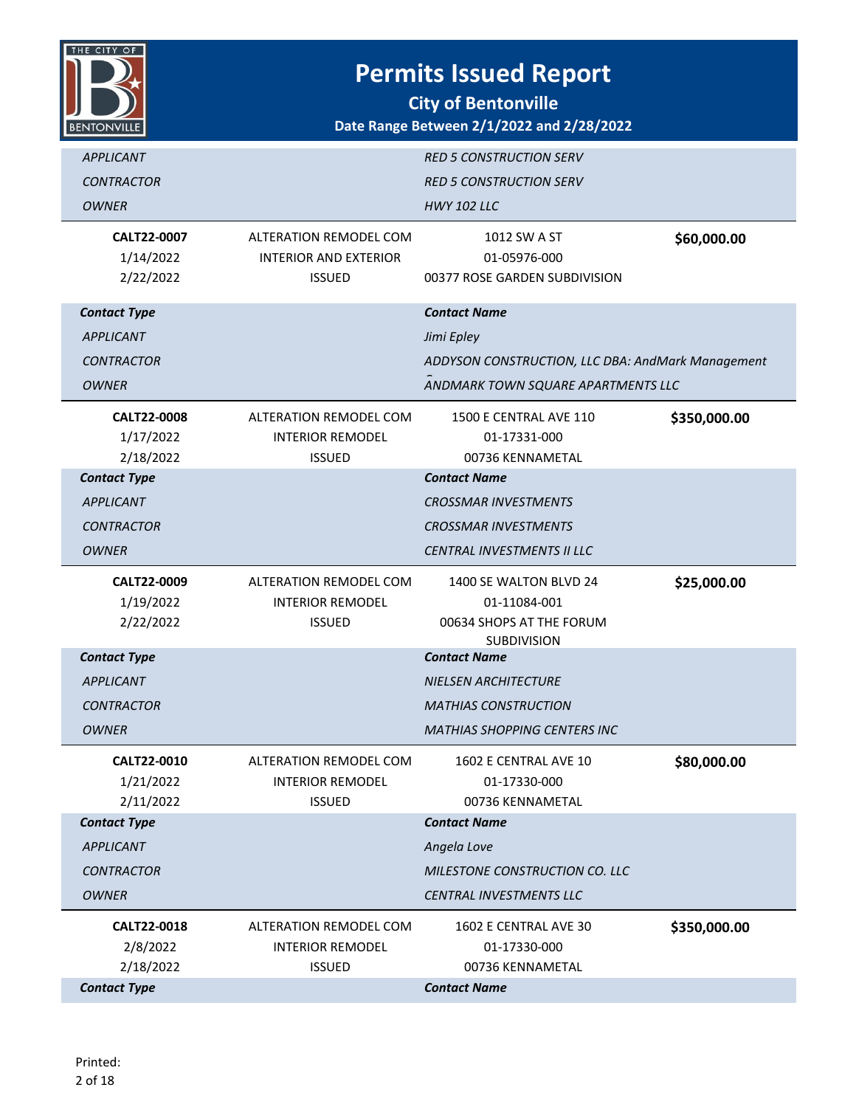

**City of Bentonville**

**Date Range Between 2/1/2022 and 2/28/2022**

| <b>APPLICANT</b>                 |                               | <b>RED 5 CONSTRUCTION SERV</b>                    |              |
|----------------------------------|-------------------------------|---------------------------------------------------|--------------|
| <b>CONTRACTOR</b>                |                               | <b>RED 5 CONSTRUCTION SERV</b>                    |              |
| <b>OWNER</b>                     |                               | <b>HWY 102 LLC</b>                                |              |
| CALT22-0007                      | ALTERATION REMODEL COM        | 1012 SW A ST                                      | \$60,000.00  |
| 1/14/2022                        | <b>INTERIOR AND EXTERIOR</b>  | 01-05976-000                                      |              |
| 2/22/2022                        | <b>ISSUED</b>                 | 00377 ROSE GARDEN SUBDIVISION                     |              |
| <b>Contact Type</b>              |                               | <b>Contact Name</b>                               |              |
| <b>APPLICANT</b>                 |                               | Jimi Epley                                        |              |
| <b>CONTRACTOR</b>                |                               | ADDYSON CONSTRUCTION, LLC DBA: AndMark Management |              |
| <b>OWNER</b>                     |                               | ANDMARK TOWN SQUARE APARTMENTS LLC                |              |
| CALT22-0008                      | <b>ALTERATION REMODEL COM</b> | 1500 E CENTRAL AVE 110                            | \$350,000.00 |
| 1/17/2022                        | <b>INTERIOR REMODEL</b>       | 01-17331-000                                      |              |
| 2/18/2022                        | <b>ISSUED</b>                 | 00736 KENNAMETAL                                  |              |
| <b>Contact Type</b>              |                               | <b>Contact Name</b>                               |              |
| <b>APPLICANT</b>                 |                               | <b>CROSSMAR INVESTMENTS</b>                       |              |
| <b>CONTRACTOR</b>                |                               | <b>CROSSMAR INVESTMENTS</b>                       |              |
| <b>OWNER</b>                     |                               | CENTRAL INVESTMENTS II LLC                        |              |
| CALT22-0009                      | ALTERATION REMODEL COM        | 1400 SE WALTON BLVD 24                            | \$25,000.00  |
| 1/19/2022                        | <b>INTERIOR REMODEL</b>       | 01-11084-001                                      |              |
| 2/22/2022                        | <b>ISSUED</b>                 | 00634 SHOPS AT THE FORUM<br><b>SUBDIVISION</b>    |              |
| <b>Contact Type</b>              |                               | <b>Contact Name</b>                               |              |
| <b>APPLICANT</b>                 |                               |                                                   |              |
|                                  |                               | <b>NIELSEN ARCHITECTURE</b>                       |              |
| <b>CONTRACTOR</b>                |                               | <b>MATHIAS CONSTRUCTION</b>                       |              |
| <b>OWNER</b>                     |                               | <b>MATHIAS SHOPPING CENTERS INC</b>               |              |
| CALT22-0010                      | ALTERATION REMODEL COM        | 1602 E CENTRAL AVE 10                             | \$80,000.00  |
| 1/21/2022                        | <b>INTERIOR REMODEL</b>       | 01-17330-000                                      |              |
| 2/11/2022                        | <b>ISSUED</b>                 | 00736 KENNAMETAL                                  |              |
| <b>Contact Type</b>              |                               | <b>Contact Name</b>                               |              |
| <b>APPLICANT</b>                 |                               | Angela Love                                       |              |
| <b>CONTRACTOR</b>                |                               | <b>MILESTONE CONSTRUCTION CO. LLC</b>             |              |
| <b>OWNER</b>                     |                               | <b>CENTRAL INVESTMENTS LLC</b>                    |              |
| CALT22-0018                      | ALTERATION REMODEL COM        | 1602 E CENTRAL AVE 30                             | \$350,000.00 |
| 2/8/2022                         | <b>INTERIOR REMODEL</b>       | 01-17330-000                                      |              |
| 2/18/2022<br><b>Contact Type</b> | <b>ISSUED</b>                 | 00736 KENNAMETAL<br><b>Contact Name</b>           |              |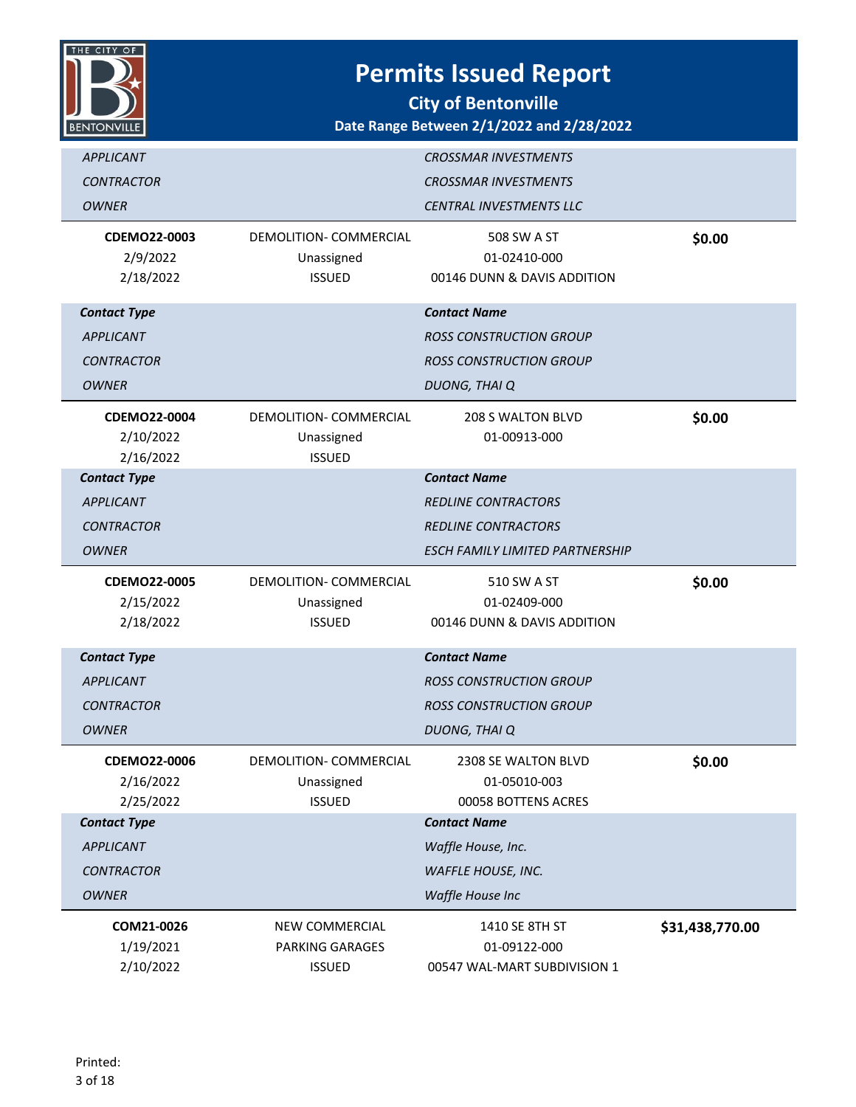

| <b>APPLICANT</b><br><b>CONTRACTOR</b><br><b>OWNER</b>                        |                                                              | <b>CROSSMAR INVESTMENTS</b><br><b>CROSSMAR INVESTMENTS</b><br><b>CENTRAL INVESTMENTS LLC</b>                       |                 |
|------------------------------------------------------------------------------|--------------------------------------------------------------|--------------------------------------------------------------------------------------------------------------------|-----------------|
| CDEMO22-0003<br>2/9/2022<br>2/18/2022                                        | DEMOLITION- COMMERCIAL<br>Unassigned<br><b>ISSUED</b>        | 508 SW A ST<br>01-02410-000<br>00146 DUNN & DAVIS ADDITION                                                         | \$0.00          |
| <b>Contact Type</b><br><b>APPLICANT</b><br><b>CONTRACTOR</b><br><b>OWNER</b> |                                                              | <b>Contact Name</b><br><b>ROSS CONSTRUCTION GROUP</b><br><b>ROSS CONSTRUCTION GROUP</b><br>DUONG, THAI Q           |                 |
| CDEMO22-0004<br>2/10/2022<br>2/16/2022                                       | <b>DEMOLITION- COMMERCIAL</b><br>Unassigned<br><b>ISSUED</b> | 208 S WALTON BLVD<br>01-00913-000                                                                                  | \$0.00          |
| <b>Contact Type</b><br><b>APPLICANT</b><br><b>CONTRACTOR</b><br><b>OWNER</b> |                                                              | <b>Contact Name</b><br><b>REDLINE CONTRACTORS</b><br><b>REDLINE CONTRACTORS</b><br>ESCH FAMILY LIMITED PARTNERSHIP |                 |
| CDEMO22-0005<br>2/15/2022<br>2/18/2022                                       | DEMOLITION- COMMERCIAL<br>Unassigned<br><b>ISSUED</b>        | 510 SW A ST<br>01-02409-000<br>00146 DUNN & DAVIS ADDITION                                                         | \$0.00          |
| <b>Contact Type</b><br><b>APPLICANT</b><br><b>CONTRACTOR</b><br><b>OWNER</b> |                                                              | <b>Contact Name</b><br><b>ROSS CONSTRUCTION GROUP</b><br><b>ROSS CONSTRUCTION GROUP</b><br>DUONG, THAI Q           |                 |
| CDEMO22-0006<br>2/16/2022<br>2/25/2022                                       | DEMOLITION- COMMERCIAL<br>Unassigned<br><b>ISSUED</b>        | 2308 SE WALTON BLVD<br>01-05010-003<br>00058 BOTTENS ACRES                                                         | \$0.00          |
| <b>Contact Type</b><br>APPLICANT<br><b>CONTRACTOR</b><br><b>OWNER</b>        |                                                              | <b>Contact Name</b><br>Waffle House, Inc.<br><b>WAFFLE HOUSE, INC.</b><br>Waffle House Inc                         |                 |
| COM21-0026<br>1/19/2021<br>2/10/2022                                         | NEW COMMERCIAL<br>PARKING GARAGES<br><b>ISSUED</b>           | 1410 SE 8TH ST<br>01-09122-000<br>00547 WAL-MART SUBDIVISION 1                                                     | \$31,438,770.00 |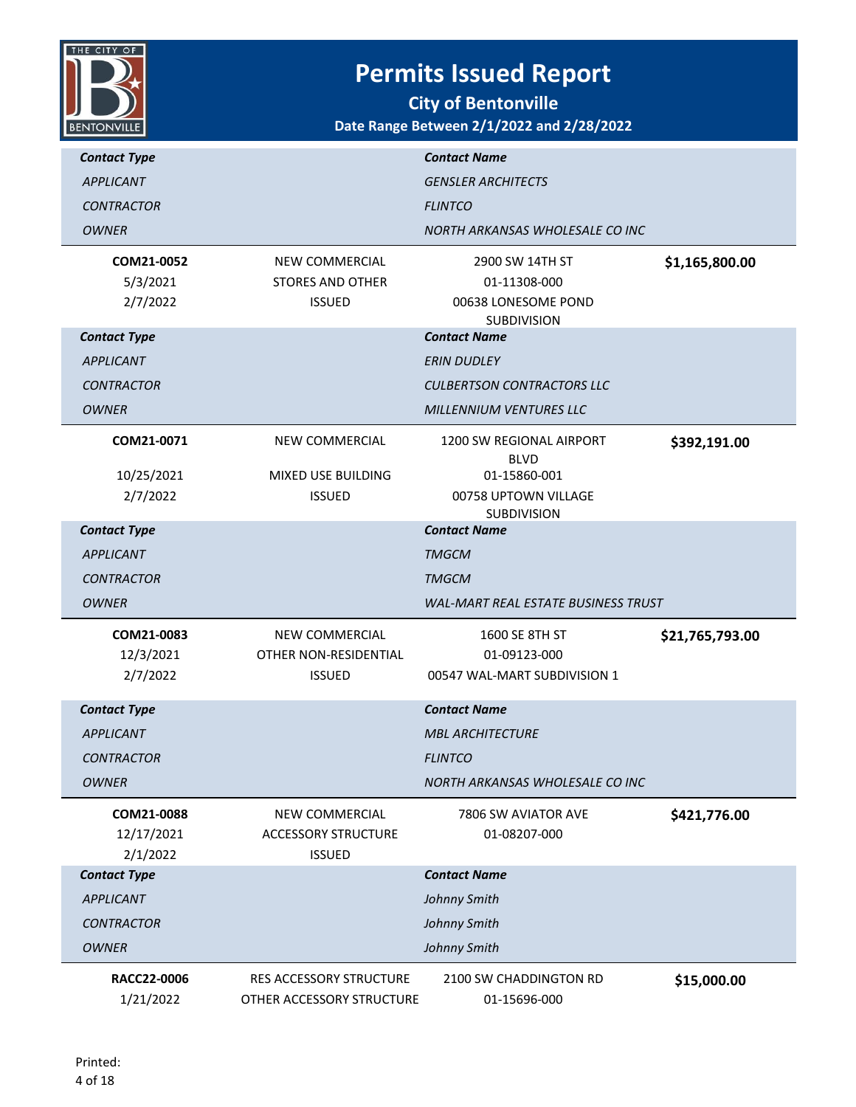

| <b>Contact Type</b> |                            | <b>Contact Name</b>                 |                 |
|---------------------|----------------------------|-------------------------------------|-----------------|
| <b>APPLICANT</b>    |                            | <b>GENSLER ARCHITECTS</b>           |                 |
| <b>CONTRACTOR</b>   |                            | <b>FLINTCO</b>                      |                 |
| <b>OWNER</b>        |                            | NORTH ARKANSAS WHOLESALE CO INC     |                 |
| COM21-0052          | NEW COMMERCIAL             | 2900 SW 14TH ST                     | \$1,165,800.00  |
| 5/3/2021            | <b>STORES AND OTHER</b>    | 01-11308-000                        |                 |
| 2/7/2022            | <b>ISSUED</b>              | 00638 LONESOME POND<br>SUBDIVISION  |                 |
| <b>Contact Type</b> |                            | <b>Contact Name</b>                 |                 |
| <b>APPLICANT</b>    |                            | <b>ERIN DUDLEY</b>                  |                 |
| <b>CONTRACTOR</b>   |                            | <b>CULBERTSON CONTRACTORS LLC</b>   |                 |
| <b>OWNER</b>        |                            | <b>MILLENNIUM VENTURES LLC</b>      |                 |
| COM21-0071          | NEW COMMERCIAL             | 1200 SW REGIONAL AIRPORT            | \$392,191.00    |
| 10/25/2021          | MIXED USE BUILDING         | <b>BLVD</b><br>01-15860-001         |                 |
| 2/7/2022            | <b>ISSUED</b>              | 00758 UPTOWN VILLAGE                |                 |
|                     |                            | <b>SUBDIVISION</b>                  |                 |
| <b>Contact Type</b> |                            | <b>Contact Name</b>                 |                 |
| <b>APPLICANT</b>    |                            | <b>TMGCM</b>                        |                 |
| <b>CONTRACTOR</b>   |                            | <b>TMGCM</b>                        |                 |
| <b>OWNER</b>        |                            | WAL-MART REAL ESTATE BUSINESS TRUST |                 |
| COM21-0083          | NEW COMMERCIAL             | 1600 SE 8TH ST                      | \$21,765,793.00 |
| 12/3/2021           | OTHER NON-RESIDENTIAL      | 01-09123-000                        |                 |
| 2/7/2022            | <b>ISSUED</b>              | 00547 WAL-MART SUBDIVISION 1        |                 |
| <b>Contact Type</b> |                            | <b>Contact Name</b>                 |                 |
| <b>APPLICANT</b>    |                            | <b>MBL ARCHITECTURE</b>             |                 |
| <b>CONTRACTOR</b>   |                            | <b>FLINTCO</b>                      |                 |
| <b>OWNER</b>        |                            | NORTH ARKANSAS WHOLESALE CO INC     |                 |
| COM21-0088          | NEW COMMERCIAL             | 7806 SW AVIATOR AVE                 | \$421,776.00    |
| 12/17/2021          | <b>ACCESSORY STRUCTURE</b> | 01-08207-000                        |                 |
| 2/1/2022            | <b>ISSUED</b>              |                                     |                 |
| <b>Contact Type</b> |                            | <b>Contact Name</b>                 |                 |
| <b>APPLICANT</b>    |                            | Johnny Smith                        |                 |
| <b>CONTRACTOR</b>   |                            | Johnny Smith                        |                 |
| <b>OWNER</b>        |                            | Johnny Smith                        |                 |
| RACC22-0006         | RES ACCESSORY STRUCTURE    | 2100 SW CHADDINGTON RD              | \$15,000.00     |
| 1/21/2022           | OTHER ACCESSORY STRUCTURE  | 01-15696-000                        |                 |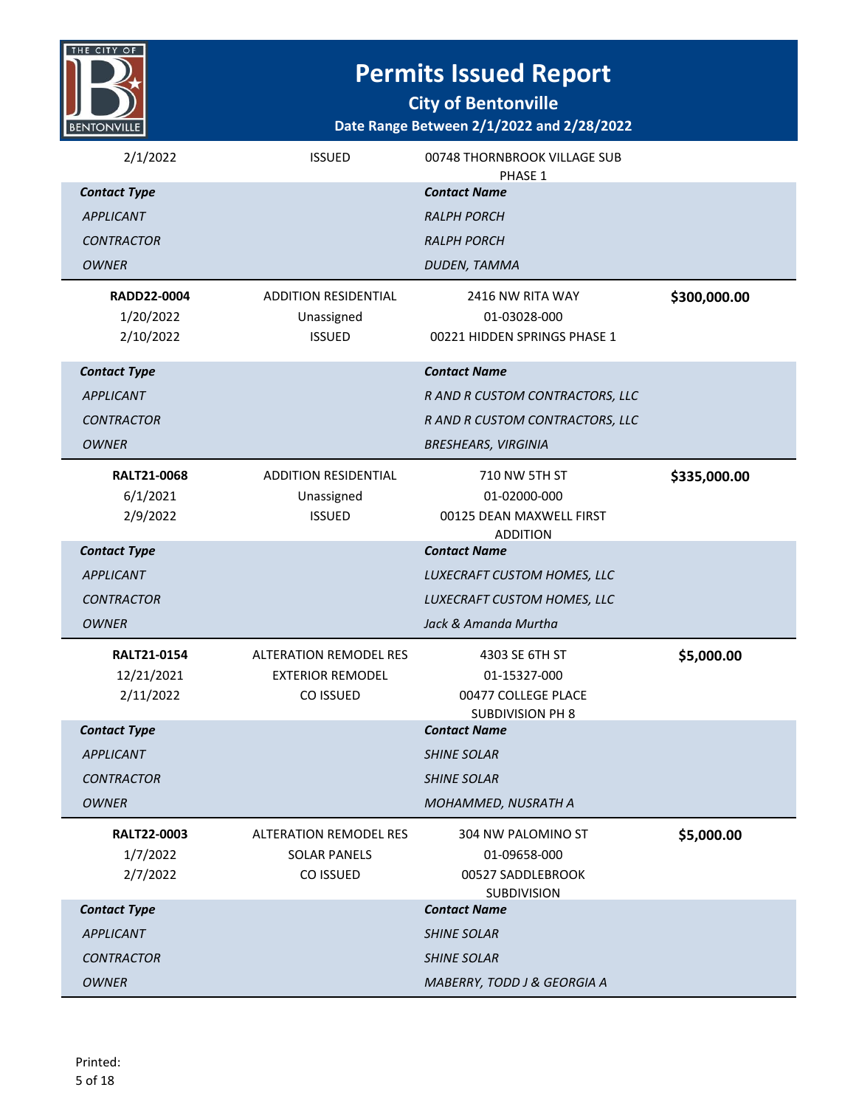

| 2/1/2022                                   | <b>ISSUED</b>                                                         | 00748 THORNBROOK VILLAGE SUB<br>PHASE 1                                          |              |
|--------------------------------------------|-----------------------------------------------------------------------|----------------------------------------------------------------------------------|--------------|
| <b>Contact Type</b>                        |                                                                       | <b>Contact Name</b>                                                              |              |
| <b>APPLICANT</b>                           |                                                                       | <b>RALPH PORCH</b>                                                               |              |
| <b>CONTRACTOR</b>                          |                                                                       | <b>RALPH PORCH</b>                                                               |              |
| <b>OWNER</b>                               |                                                                       | DUDEN, TAMMA                                                                     |              |
| RADD22-0004<br>1/20/2022<br>2/10/2022      | <b>ADDITION RESIDENTIAL</b><br>Unassigned<br><b>ISSUED</b>            | 2416 NW RITA WAY<br>01-03028-000<br>00221 HIDDEN SPRINGS PHASE 1                 | \$300,000.00 |
| <b>Contact Type</b>                        |                                                                       | <b>Contact Name</b>                                                              |              |
| <b>APPLICANT</b>                           |                                                                       | R AND R CUSTOM CONTRACTORS, LLC                                                  |              |
| <b>CONTRACTOR</b>                          |                                                                       | R AND R CUSTOM CONTRACTORS, LLC                                                  |              |
| <b>OWNER</b>                               |                                                                       | <b>BRESHEARS, VIRGINIA</b>                                                       |              |
| <b>RALT21-0068</b><br>6/1/2021<br>2/9/2022 | <b>ADDITION RESIDENTIAL</b><br>Unassigned<br><b>ISSUED</b>            | 710 NW 5TH ST<br>01-02000-000<br>00125 DEAN MAXWELL FIRST<br><b>ADDITION</b>     | \$335,000.00 |
| <b>Contact Type</b>                        |                                                                       | <b>Contact Name</b>                                                              |              |
| <b>APPLICANT</b>                           |                                                                       | LUXECRAFT CUSTOM HOMES, LLC                                                      |              |
| <b>CONTRACTOR</b>                          |                                                                       | LUXECRAFT CUSTOM HOMES, LLC                                                      |              |
| <b>OWNER</b>                               |                                                                       | Jack & Amanda Murtha                                                             |              |
| RALT21-0154<br>12/21/2021<br>2/11/2022     | <b>ALTERATION REMODEL RES</b><br><b>EXTERIOR REMODEL</b><br>CO ISSUED | 4303 SE 6TH ST<br>01-15327-000<br>00477 COLLEGE PLACE<br><b>SUBDIVISION PH 8</b> | \$5,000.00   |
| <b>Contact Type</b>                        |                                                                       | <b>Contact Name</b>                                                              |              |
| <b>APPLICANT</b>                           |                                                                       | <b>SHINE SOLAR</b>                                                               |              |
| <b>CONTRACTOR</b>                          |                                                                       | <b>SHINE SOLAR</b>                                                               |              |
| <b>OWNER</b>                               |                                                                       | MOHAMMED, NUSRATH A                                                              |              |
| <b>RALT22-0003</b><br>1/7/2022<br>2/7/2022 | <b>ALTERATION REMODEL RES</b><br><b>SOLAR PANELS</b><br>CO ISSUED     | 304 NW PALOMINO ST<br>01-09658-000<br>00527 SADDLEBROOK<br><b>SUBDIVISION</b>    | \$5,000.00   |
| <b>Contact Type</b>                        |                                                                       | <b>Contact Name</b>                                                              |              |
| <b>APPLICANT</b>                           |                                                                       | <b>SHINE SOLAR</b>                                                               |              |
| <b>CONTRACTOR</b>                          |                                                                       | <b>SHINE SOLAR</b>                                                               |              |
| <b>OWNER</b>                               |                                                                       | MABERRY, TODD J & GEORGIA A                                                      |              |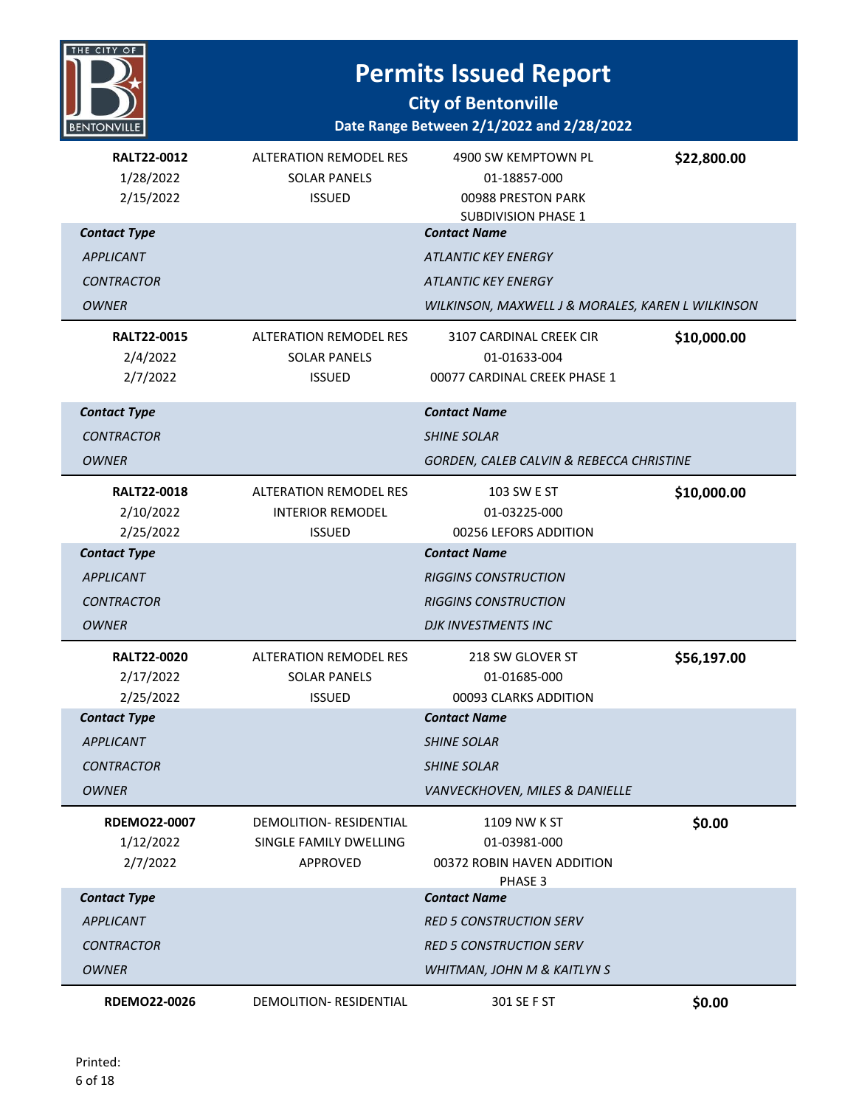# THE CITY OF **BENTONVILLE**

# **Permits Issued Report**

| <b>RALT22-0012</b><br>1/28/2022<br>2/15/2022 | <b>ALTERATION REMODEL RES</b><br><b>SOLAR PANELS</b><br><b>ISSUED</b> | 4900 SW KEMPTOWN PL<br>01-18857-000<br>00988 PRESTON PARK<br><b>SUBDIVISION PHASE 1</b> | \$22,800.00 |
|----------------------------------------------|-----------------------------------------------------------------------|-----------------------------------------------------------------------------------------|-------------|
| <b>Contact Type</b>                          |                                                                       | <b>Contact Name</b>                                                                     |             |
| <b>APPLICANT</b>                             |                                                                       | <b>ATLANTIC KEY ENERGY</b>                                                              |             |
| <b>CONTRACTOR</b>                            |                                                                       | <b>ATLANTIC KEY ENERGY</b>                                                              |             |
| <b>OWNER</b>                                 |                                                                       | WILKINSON, MAXWELL J & MORALES, KAREN L WILKINSON                                       |             |
| <b>RALT22-0015</b>                           | <b>ALTERATION REMODEL RES</b>                                         | 3107 CARDINAL CREEK CIR                                                                 | \$10,000.00 |
| 2/4/2022                                     | <b>SOLAR PANELS</b>                                                   | 01-01633-004                                                                            |             |
| 2/7/2022                                     | <b>ISSUED</b>                                                         | 00077 CARDINAL CREEK PHASE 1                                                            |             |
| <b>Contact Type</b>                          |                                                                       | <b>Contact Name</b>                                                                     |             |
| <b>CONTRACTOR</b>                            |                                                                       | <b>SHINE SOLAR</b>                                                                      |             |
| <b>OWNER</b>                                 |                                                                       | GORDEN, CALEB CALVIN & REBECCA CHRISTINE                                                |             |
| <b>RALT22-0018</b>                           | <b>ALTERATION REMODEL RES</b>                                         | 103 SW E ST                                                                             | \$10,000.00 |
| 2/10/2022                                    | <b>INTERIOR REMODEL</b>                                               | 01-03225-000                                                                            |             |
| 2/25/2022                                    | <b>ISSUED</b>                                                         | 00256 LEFORS ADDITION                                                                   |             |
| <b>Contact Type</b>                          |                                                                       | <b>Contact Name</b>                                                                     |             |
| <b>APPLICANT</b>                             |                                                                       | <b>RIGGINS CONSTRUCTION</b>                                                             |             |
| <b>CONTRACTOR</b>                            |                                                                       | <b>RIGGINS CONSTRUCTION</b>                                                             |             |
| <b>OWNER</b>                                 |                                                                       | <b>DJK INVESTMENTS INC</b>                                                              |             |
| <b>RALT22-0020</b>                           | <b>ALTERATION REMODEL RES</b>                                         | 218 SW GLOVER ST                                                                        | \$56,197.00 |
| 2/17/2022                                    | <b>SOLAR PANELS</b>                                                   | 01-01685-000                                                                            |             |
| 2/25/2022                                    | <b>ISSUED</b>                                                         | 00093 CLARKS ADDITION                                                                   |             |
| <b>Contact Type</b>                          |                                                                       | <b>Contact Name</b>                                                                     |             |
| <b>APPLICANT</b>                             |                                                                       | <b>SHINE SOLAR</b>                                                                      |             |
| <b>CONTRACTOR</b>                            |                                                                       | <b>SHINE SOLAR</b>                                                                      |             |
| <b>OWNER</b>                                 |                                                                       | VANVECKHOVEN, MILES & DANIELLE                                                          |             |
| <b>RDEMO22-0007</b>                          | <b>DEMOLITION- RESIDENTIAL</b>                                        | 1109 NW K ST                                                                            | \$0.00      |
| 1/12/2022                                    | SINGLE FAMILY DWELLING                                                | 01-03981-000                                                                            |             |
| 2/7/2022                                     | APPROVED                                                              | 00372 ROBIN HAVEN ADDITION<br>PHASE 3                                                   |             |
| <b>Contact Type</b>                          |                                                                       | <b>Contact Name</b>                                                                     |             |
| <b>APPLICANT</b>                             |                                                                       | <b>RED 5 CONSTRUCTION SERV</b>                                                          |             |
| <b>CONTRACTOR</b>                            |                                                                       | <b>RED 5 CONSTRUCTION SERV</b>                                                          |             |
| <b>OWNER</b>                                 |                                                                       | WHITMAN, JOHN M & KAITLYN S                                                             |             |
| <b>RDEMO22-0026</b>                          | DEMOLITION-RESIDENTIAL                                                | 301 SE F ST                                                                             | \$0.00      |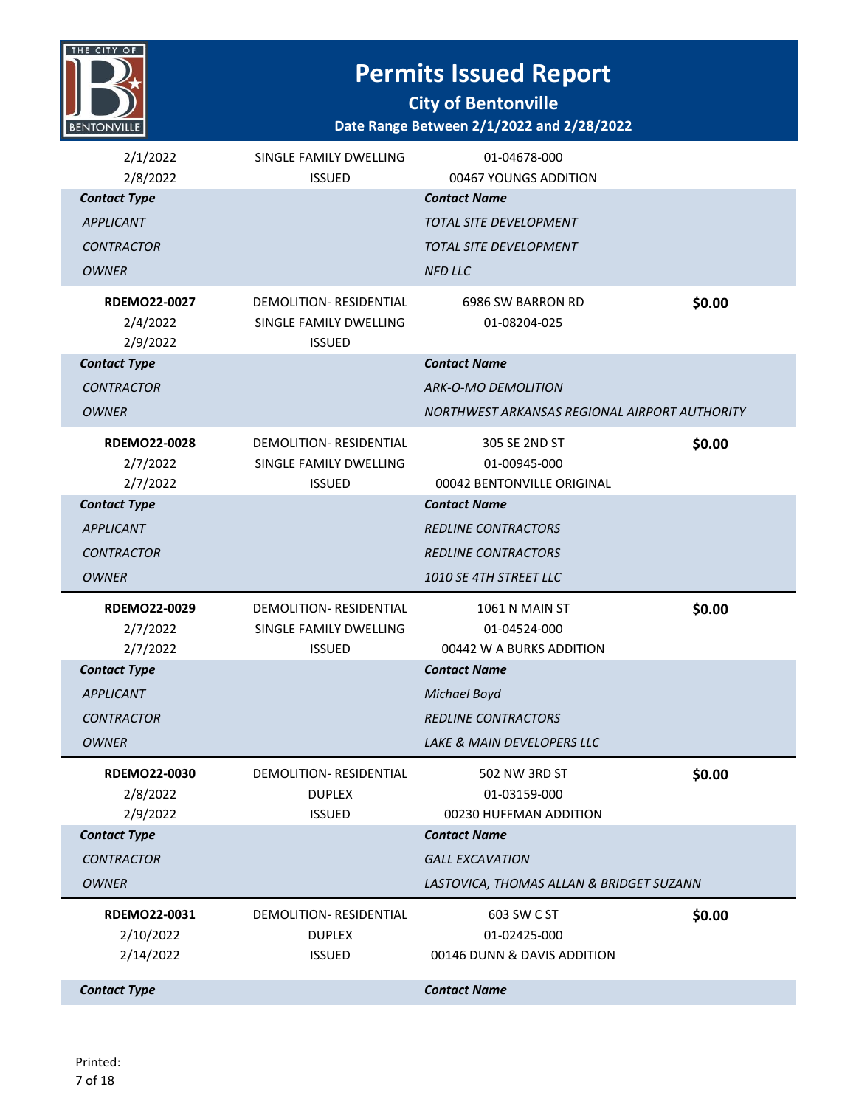

**City of Bentonville**

#### **Date Range Between 2/1/2022 and 2/28/2022**

| 2/1/2022<br>2/8/2022            | SINGLE FAMILY DWELLING<br><b>ISSUED</b>                  | 01-04678-000<br>00467 YOUNGS ADDITION         |        |
|---------------------------------|----------------------------------------------------------|-----------------------------------------------|--------|
| <b>Contact Type</b>             |                                                          | <b>Contact Name</b>                           |        |
| <b>APPLICANT</b>                |                                                          | TOTAL SITE DEVELOPMENT                        |        |
| <b>CONTRACTOR</b>               |                                                          | TOTAL SITE DEVELOPMENT                        |        |
| <b>OWNER</b>                    |                                                          | <b>NFD LLC</b>                                |        |
|                                 |                                                          |                                               |        |
| <b>RDEMO22-0027</b>             | <b>DEMOLITION- RESIDENTIAL</b><br>SINGLE FAMILY DWELLING | 6986 SW BARRON RD                             | \$0.00 |
| 2/4/2022<br>2/9/2022            | <b>ISSUED</b>                                            | 01-08204-025                                  |        |
| <b>Contact Type</b>             |                                                          | <b>Contact Name</b>                           |        |
| <b>CONTRACTOR</b>               |                                                          | <b>ARK-O-MO DEMOLITION</b>                    |        |
| <b>OWNER</b>                    |                                                          | NORTHWEST ARKANSAS REGIONAL AIRPORT AUTHORITY |        |
|                                 |                                                          |                                               |        |
| <b>RDEMO22-0028</b><br>2/7/2022 | DEMOLITION- RESIDENTIAL<br>SINGLE FAMILY DWELLING        | 305 SE 2ND ST<br>01-00945-000                 | \$0.00 |
| 2/7/2022                        | <b>ISSUED</b>                                            | 00042 BENTONVILLE ORIGINAL                    |        |
| <b>Contact Type</b>             |                                                          | <b>Contact Name</b>                           |        |
| <b>APPLICANT</b>                |                                                          | <b>REDLINE CONTRACTORS</b>                    |        |
| <b>CONTRACTOR</b>               |                                                          | <b>REDLINE CONTRACTORS</b>                    |        |
| <b>OWNER</b>                    |                                                          | 1010 SE 4TH STREET LLC                        |        |
| RDEMO22-0029                    | DEMOLITION-RESIDENTIAL                                   | 1061 N MAIN ST                                | \$0.00 |
| 2/7/2022                        | SINGLE FAMILY DWELLING                                   | 01-04524-000                                  |        |
| 2/7/2022                        | <b>ISSUED</b>                                            | 00442 W A BURKS ADDITION                      |        |
| <b>Contact Type</b>             |                                                          | <b>Contact Name</b>                           |        |
| <b>APPLICANT</b>                |                                                          |                                               |        |
|                                 |                                                          | <b>Michael Boyd</b>                           |        |
| <b>CONTRACTOR</b>               |                                                          | <b>REDLINE CONTRACTORS</b>                    |        |
| <b>OWNER</b>                    |                                                          | LAKE & MAIN DEVELOPERS LLC                    |        |
| RDEMO22-0030                    | DEMOLITION-RESIDENTIAL                                   | 502 NW 3RD ST                                 |        |
| 2/8/2022                        | <b>DUPLEX</b>                                            | 01-03159-000                                  | \$0.00 |
| 2/9/2022                        | <b>ISSUED</b>                                            | 00230 HUFFMAN ADDITION                        |        |
| <b>Contact Type</b>             |                                                          | <b>Contact Name</b>                           |        |
| <b>CONTRACTOR</b>               |                                                          | <b>GALL EXCAVATION</b>                        |        |
| <b>OWNER</b>                    |                                                          | LASTOVICA, THOMAS ALLAN & BRIDGET SUZANN      |        |
| RDEMO22-0031                    | <b>DEMOLITION- RESIDENTIAL</b>                           | 603 SW C ST                                   | \$0.00 |
| 2/10/2022                       | <b>DUPLEX</b>                                            | 01-02425-000                                  |        |
| 2/14/2022                       | <b>ISSUED</b>                                            | 00146 DUNN & DAVIS ADDITION                   |        |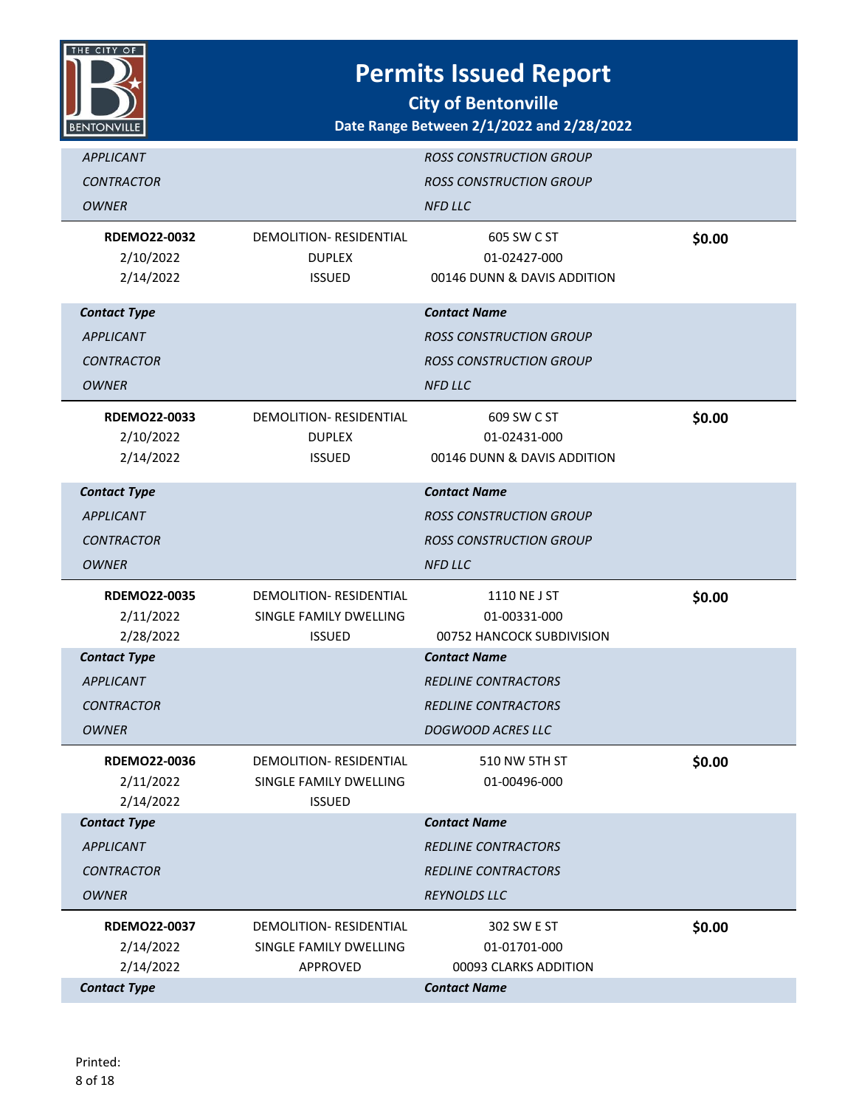

| <b>APPLICANT</b>                              |                                                                           | <b>ROSS CONSTRUCTION GROUP</b>                             |        |
|-----------------------------------------------|---------------------------------------------------------------------------|------------------------------------------------------------|--------|
| <b>CONTRACTOR</b>                             |                                                                           | <b>ROSS CONSTRUCTION GROUP</b>                             |        |
| OWNER                                         |                                                                           | <b>NFD LLC</b>                                             |        |
| <b>RDEMO22-0032</b><br>2/10/2022<br>2/14/2022 | DEMOLITION- RESIDENTIAL<br><b>DUPLEX</b><br><b>ISSUED</b>                 | 605 SW C ST<br>01-02427-000<br>00146 DUNN & DAVIS ADDITION | \$0.00 |
| <b>Contact Type</b>                           |                                                                           | <b>Contact Name</b>                                        |        |
| <b>APPLICANT</b>                              |                                                                           | <b>ROSS CONSTRUCTION GROUP</b>                             |        |
| <i>CONTRACTOR</i>                             |                                                                           | <b>ROSS CONSTRUCTION GROUP</b>                             |        |
| <b>OWNER</b>                                  |                                                                           | <b>NFD LLC</b>                                             |        |
| RDEMO22-0033<br>2/10/2022<br>2/14/2022        | DEMOLITION- RESIDENTIAL<br><b>DUPLEX</b><br><b>ISSUED</b>                 | 609 SW C ST<br>01-02431-000<br>00146 DUNN & DAVIS ADDITION | \$0.00 |
| <b>Contact Type</b>                           |                                                                           | <b>Contact Name</b>                                        |        |
| <b>APPLICANT</b>                              |                                                                           | <b>ROSS CONSTRUCTION GROUP</b>                             |        |
| <b>CONTRACTOR</b>                             |                                                                           | <b>ROSS CONSTRUCTION GROUP</b>                             |        |
| <b>OWNER</b>                                  |                                                                           | <b>NFD LLC</b>                                             |        |
| <b>RDEMO22-0035</b><br>2/11/2022              | <b>DEMOLITION- RESIDENTIAL</b><br>SINGLE FAMILY DWELLING                  | 1110 NE J ST<br>01-00331-000                               | \$0.00 |
| 2/28/2022                                     | <b>ISSUED</b>                                                             | 00752 HANCOCK SUBDIVISION                                  |        |
| <b>Contact Type</b>                           |                                                                           | <b>Contact Name</b>                                        |        |
| <b>APPLICANT</b>                              |                                                                           | <b>REDLINE CONTRACTORS</b>                                 |        |
| <b>CONTRACTOR</b>                             |                                                                           | <b>REDLINE CONTRACTORS</b>                                 |        |
| <b>OWNER</b>                                  |                                                                           | <b>DOGWOOD ACRES LLC</b>                                   |        |
| <b>RDEMO22-0036</b><br>2/11/2022<br>2/14/2022 | <b>DEMOLITION- RESIDENTIAL</b><br>SINGLE FAMILY DWELLING<br><b>ISSUED</b> | 510 NW 5TH ST<br>01-00496-000                              | \$0.00 |
| <b>Contact Type</b>                           |                                                                           | <b>Contact Name</b>                                        |        |
| <b>APPLICANT</b>                              |                                                                           | <b>REDLINE CONTRACTORS</b>                                 |        |
| <b>CONTRACTOR</b>                             |                                                                           | <b>REDLINE CONTRACTORS</b>                                 |        |
| <b>OWNER</b>                                  |                                                                           | <b>REYNOLDS LLC</b>                                        |        |
| <b>RDEMO22-0037</b>                           | DEMOLITION- RESIDENTIAL                                                   | 302 SW E ST                                                | \$0.00 |
| 2/14/2022                                     | SINGLE FAMILY DWELLING                                                    | 01-01701-000                                               |        |
| 2/14/2022<br><b>Contact Type</b>              | APPROVED                                                                  | 00093 CLARKS ADDITION<br><b>Contact Name</b>               |        |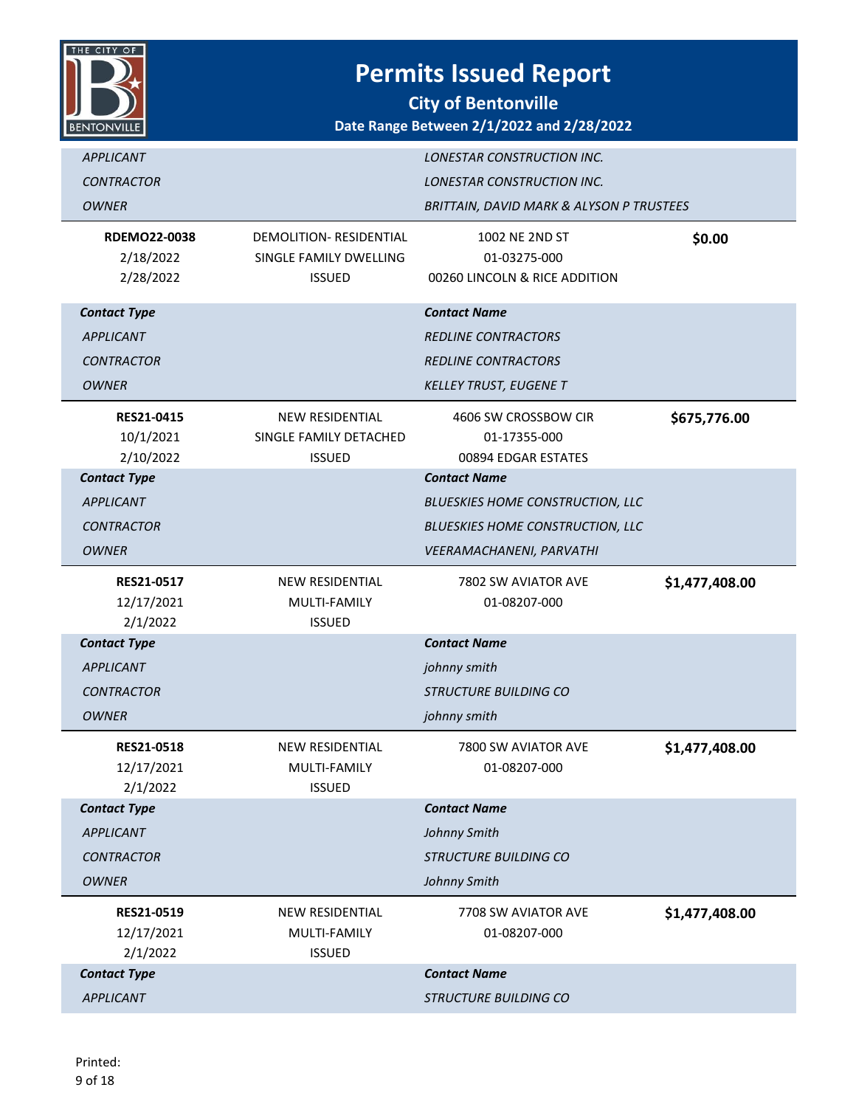

| <b>APPLICANT</b>    |                                | LONESTAR CONSTRUCTION INC.               |                |
|---------------------|--------------------------------|------------------------------------------|----------------|
| <b>CONTRACTOR</b>   |                                | LONESTAR CONSTRUCTION INC.               |                |
| <b>OWNER</b>        |                                | BRITTAIN, DAVID MARK & ALYSON P TRUSTEES |                |
| <b>RDEMO22-0038</b> | <b>DEMOLITION- RESIDENTIAL</b> | 1002 NE 2ND ST                           | \$0.00         |
| 2/18/2022           | SINGLE FAMILY DWELLING         | 01-03275-000                             |                |
| 2/28/2022           | <b>ISSUED</b>                  | 00260 LINCOLN & RICE ADDITION            |                |
| <b>Contact Type</b> |                                | <b>Contact Name</b>                      |                |
| <b>APPLICANT</b>    |                                | <b>REDLINE CONTRACTORS</b>               |                |
| <b>CONTRACTOR</b>   |                                | <b>REDLINE CONTRACTORS</b>               |                |
| <b>OWNER</b>        |                                | <b>KELLEY TRUST, EUGENE T</b>            |                |
| <b>RES21-0415</b>   | <b>NEW RESIDENTIAL</b>         | 4606 SW CROSSBOW CIR                     | \$675,776.00   |
| 10/1/2021           | SINGLE FAMILY DETACHED         | 01-17355-000                             |                |
| 2/10/2022           | <b>ISSUED</b>                  | 00894 EDGAR ESTATES                      |                |
| <b>Contact Type</b> |                                | <b>Contact Name</b>                      |                |
| <b>APPLICANT</b>    |                                | <b>BLUESKIES HOME CONSTRUCTION, LLC</b>  |                |
| <b>CONTRACTOR</b>   |                                | BLUESKIES HOME CONSTRUCTION, LLC         |                |
| <b>OWNER</b>        |                                | VEERAMACHANENI, PARVATHI                 |                |
| RES21-0517          | <b>NEW RESIDENTIAL</b>         | 7802 SW AVIATOR AVE                      | \$1,477,408.00 |
| 12/17/2021          | MULTI-FAMILY                   | 01-08207-000                             |                |
| 2/1/2022            | <b>ISSUED</b>                  |                                          |                |
| <b>Contact Type</b> |                                | <b>Contact Name</b>                      |                |
| <b>APPLICANT</b>    |                                | johnny smith                             |                |
| <b>CONTRACTOR</b>   |                                | <b>STRUCTURE BUILDING CO</b>             |                |
| <b>OWNER</b>        |                                | johnny smith                             |                |
| RES21-0518          | <b>NEW RESIDENTIAL</b>         | 7800 SW AVIATOR AVE                      | \$1,477,408.00 |
| 12/17/2021          | MULTI-FAMILY                   | 01-08207-000                             |                |
| 2/1/2022            | <b>ISSUED</b>                  |                                          |                |
| <b>Contact Type</b> |                                | <b>Contact Name</b>                      |                |
| <b>APPLICANT</b>    |                                | Johnny Smith                             |                |
| <b>CONTRACTOR</b>   |                                | <b>STRUCTURE BUILDING CO</b>             |                |
| <b>OWNER</b>        |                                | Johnny Smith                             |                |
| RES21-0519          | NEW RESIDENTIAL                | 7708 SW AVIATOR AVE                      | \$1,477,408.00 |
| 12/17/2021          | MULTI-FAMILY                   | 01-08207-000                             |                |
| 2/1/2022            | <b>ISSUED</b>                  |                                          |                |
| <b>Contact Type</b> |                                | <b>Contact Name</b>                      |                |
| <b>APPLICANT</b>    |                                | <b>STRUCTURE BUILDING CO</b>             |                |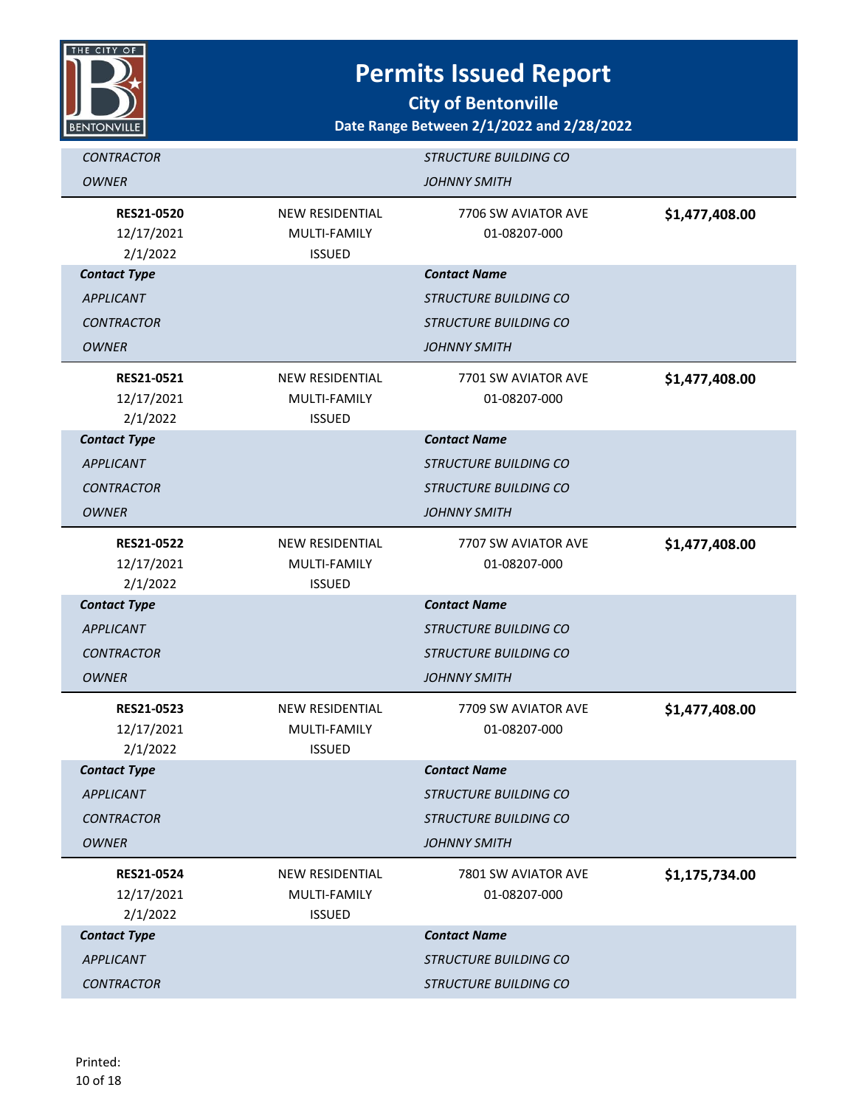

| <b>CONTRACTOR</b>                       |                                 | <b>STRUCTURE BUILDING CO</b>        |                |
|-----------------------------------------|---------------------------------|-------------------------------------|----------------|
| <b>OWNER</b>                            |                                 | <b>JOHNNY SMITH</b>                 |                |
| <b>RES21-0520</b>                       | <b>NEW RESIDENTIAL</b>          | 7706 SW AVIATOR AVE                 | \$1,477,408.00 |
| 12/17/2021                              | MULTI-FAMILY                    | 01-08207-000                        |                |
| 2/1/2022                                | <b>ISSUED</b>                   | <b>Contact Name</b>                 |                |
| <b>Contact Type</b><br><b>APPLICANT</b> |                                 | <b>STRUCTURE BUILDING CO</b>        |                |
|                                         |                                 |                                     |                |
| <b>CONTRACTOR</b>                       |                                 | <b>STRUCTURE BUILDING CO</b>        |                |
| <b>OWNER</b>                            |                                 | <b>JOHNNY SMITH</b>                 |                |
| RES21-0521                              | <b>NEW RESIDENTIAL</b>          | 7701 SW AVIATOR AVE                 | \$1,477,408.00 |
| 12/17/2021<br>2/1/2022                  | MULTI-FAMILY<br><b>ISSUED</b>   | 01-08207-000                        |                |
| <b>Contact Type</b>                     |                                 | <b>Contact Name</b>                 |                |
| <b>APPLICANT</b>                        |                                 | <b>STRUCTURE BUILDING CO</b>        |                |
| <b>CONTRACTOR</b>                       |                                 | <b>STRUCTURE BUILDING CO</b>        |                |
| <b>OWNER</b>                            |                                 | <b>JOHNNY SMITH</b>                 |                |
|                                         |                                 |                                     |                |
| RES21-0522<br>12/17/2021                | NEW RESIDENTIAL<br>MULTI-FAMILY | 7707 SW AVIATOR AVE<br>01-08207-000 | \$1,477,408.00 |
| 2/1/2022                                | <b>ISSUED</b>                   |                                     |                |
| <b>Contact Type</b>                     |                                 | <b>Contact Name</b>                 |                |
| <b>APPLICANT</b>                        |                                 | <b>STRUCTURE BUILDING CO</b>        |                |
| <b>CONTRACTOR</b>                       |                                 | <b>STRUCTURE BUILDING CO</b>        |                |
| <b>OWNER</b>                            |                                 | <b>JOHNNY SMITH</b>                 |                |
| RES21-0523                              | <b>NEW RESIDENTIAL</b>          | 7709 SW AVIATOR AVE                 | \$1,477,408.00 |
| 12/17/2021                              | MULTI-FAMILY                    | 01-08207-000                        |                |
| 2/1/2022                                | <b>ISSUED</b>                   |                                     |                |
| <b>Contact Type</b>                     |                                 | <b>Contact Name</b>                 |                |
| <b>APPLICANT</b>                        |                                 | <b>STRUCTURE BUILDING CO</b>        |                |
| <b>CONTRACTOR</b>                       |                                 | <b>STRUCTURE BUILDING CO</b>        |                |
| <b>OWNER</b>                            |                                 | <b>JOHNNY SMITH</b>                 |                |
| RES21-0524                              | <b>NEW RESIDENTIAL</b>          | 7801 SW AVIATOR AVE                 | \$1,175,734.00 |
| 12/17/2021                              | MULTI-FAMILY                    | 01-08207-000                        |                |
| 2/1/2022                                | <b>ISSUED</b>                   |                                     |                |
| <b>Contact Type</b>                     |                                 | <b>Contact Name</b>                 |                |
| <b>APPLICANT</b>                        |                                 | <b>STRUCTURE BUILDING CO</b>        |                |
| <b>CONTRACTOR</b>                       |                                 | <b>STRUCTURE BUILDING CO</b>        |                |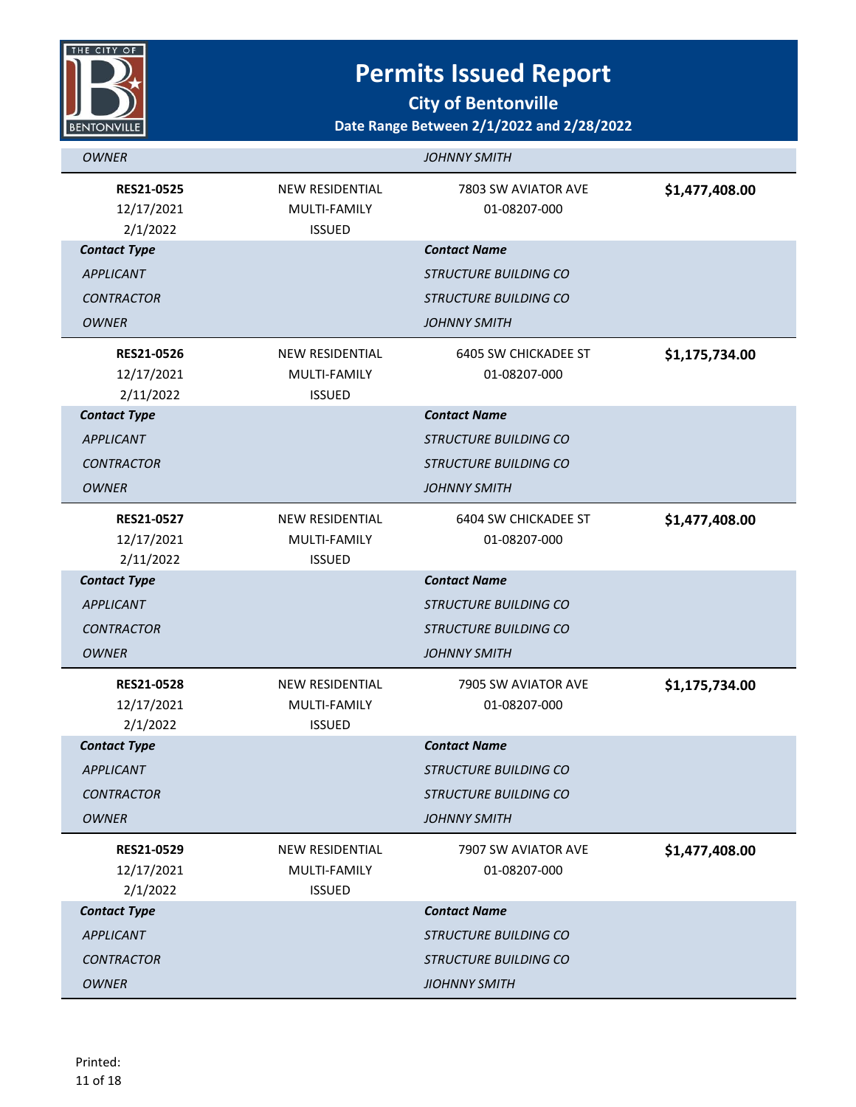

**City of Bentonville**

#### **Date Range Between 2/1/2022 and 2/28/2022**

| <b>OWNER</b>                                 |                                                         | <b>JOHNNY SMITH</b>                         |                |
|----------------------------------------------|---------------------------------------------------------|---------------------------------------------|----------------|
| <b>RES21-0525</b><br>12/17/2021<br>2/1/2022  | NEW RESIDENTIAL<br>MULTI-FAMILY<br><b>ISSUED</b>        | 7803 SW AVIATOR AVE<br>01-08207-000         | \$1,477,408.00 |
| <b>Contact Type</b>                          |                                                         | <b>Contact Name</b>                         |                |
| <b>APPLICANT</b>                             |                                                         | <b>STRUCTURE BUILDING CO</b>                |                |
| <b>CONTRACTOR</b>                            |                                                         | <b>STRUCTURE BUILDING CO</b>                |                |
| <b>OWNER</b>                                 |                                                         | <b>JOHNNY SMITH</b>                         |                |
| <b>RES21-0526</b><br>12/17/2021<br>2/11/2022 | <b>NEW RESIDENTIAL</b><br>MULTI-FAMILY<br><b>ISSUED</b> | <b>6405 SW CHICKADEE ST</b><br>01-08207-000 | \$1,175,734.00 |
| <b>Contact Type</b>                          |                                                         | <b>Contact Name</b>                         |                |
| <b>APPLICANT</b>                             |                                                         | <b>STRUCTURE BUILDING CO</b>                |                |
| <b>CONTRACTOR</b>                            |                                                         | <i>STRUCTURE BUILDING CO</i>                |                |
| <b>OWNER</b>                                 |                                                         | <b>JOHNNY SMITH</b>                         |                |
| RES21-0527<br>12/17/2021<br>2/11/2022        | <b>NEW RESIDENTIAL</b><br>MULTI-FAMILY<br><b>ISSUED</b> | <b>6404 SW CHICKADEE ST</b><br>01-08207-000 | \$1,477,408.00 |
| <b>Contact Type</b>                          |                                                         | <b>Contact Name</b>                         |                |
| <b>APPLICANT</b>                             |                                                         | <b>STRUCTURE BUILDING CO</b>                |                |
| <b>CONTRACTOR</b>                            |                                                         | <b>STRUCTURE BUILDING CO</b>                |                |
| <b>OWNER</b>                                 |                                                         | <b>JOHNNY SMITH</b>                         |                |
| <b>RES21-0528</b><br>12/17/2021<br>2/1/2022  | NEW RESIDENTIAL<br>MULTI-FAMILY<br><b>ISSUED</b>        | 7905 SW AVIATOR AVE<br>01-08207-000         | \$1,175,734.00 |
| <b>Contact Type</b>                          |                                                         | <b>Contact Name</b>                         |                |
| <b>APPLICANT</b>                             |                                                         | <b>STRUCTURE BUILDING CO</b>                |                |
| <b>CONTRACTOR</b>                            |                                                         | <i>STRUCTURE BUILDING CO</i>                |                |
| <b>OWNER</b>                                 |                                                         | <b>JOHNNY SMITH</b>                         |                |
| RES21-0529<br>12/17/2021<br>2/1/2022         | <b>NEW RESIDENTIAL</b><br>MULTI-FAMILY<br><b>ISSUED</b> | 7907 SW AVIATOR AVE<br>01-08207-000         | \$1,477,408.00 |
| <b>Contact Type</b>                          |                                                         | <b>Contact Name</b>                         |                |
| <b>APPLICANT</b>                             |                                                         | <b>STRUCTURE BUILDING CO</b>                |                |
| <b>CONTRACTOR</b>                            |                                                         | <b>STRUCTURE BUILDING CO</b>                |                |
| <b>OWNER</b>                                 |                                                         | <b>JIOHNNY SMITH</b>                        |                |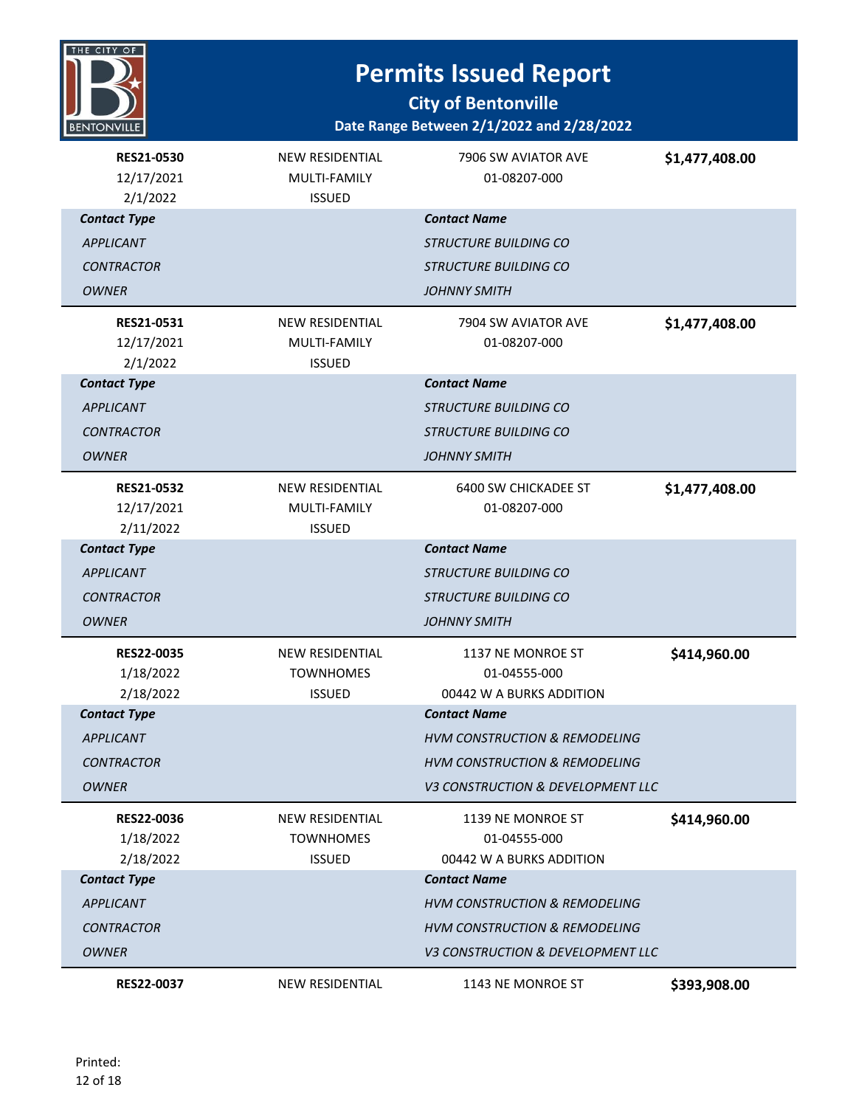

| <b>RES21-0530</b><br>12/17/2021<br>2/1/2022 | <b>NEW RESIDENTIAL</b><br>MULTI-FAMILY<br><b>ISSUED</b> | 7906 SW AVIATOR AVE<br>01-08207-000      | \$1,477,408.00 |
|---------------------------------------------|---------------------------------------------------------|------------------------------------------|----------------|
| <b>Contact Type</b>                         |                                                         | <b>Contact Name</b>                      |                |
| <b>APPLICANT</b>                            |                                                         | <b>STRUCTURE BUILDING CO</b>             |                |
| <b>CONTRACTOR</b>                           |                                                         | <b>STRUCTURE BUILDING CO</b>             |                |
| <b>OWNER</b>                                |                                                         | <b>JOHNNY SMITH</b>                      |                |
| RES21-0531                                  | <b>NEW RESIDENTIAL</b>                                  | 7904 SW AVIATOR AVE                      | \$1,477,408.00 |
| 12/17/2021                                  | MULTI-FAMILY                                            | 01-08207-000                             |                |
| 2/1/2022                                    | <b>ISSUED</b>                                           |                                          |                |
| <b>Contact Type</b>                         |                                                         | <b>Contact Name</b>                      |                |
| <b>APPLICANT</b>                            |                                                         | <b>STRUCTURE BUILDING CO</b>             |                |
| <b>CONTRACTOR</b>                           |                                                         | <b>STRUCTURE BUILDING CO</b>             |                |
| <b>OWNER</b>                                |                                                         | <b>JOHNNY SMITH</b>                      |                |
| RES21-0532                                  | NEW RESIDENTIAL                                         | <b>6400 SW CHICKADEE ST</b>              | \$1,477,408.00 |
| 12/17/2021                                  | MULTI-FAMILY                                            | 01-08207-000                             |                |
| 2/11/2022                                   | <b>ISSUED</b>                                           |                                          |                |
| <b>Contact Type</b>                         |                                                         | <b>Contact Name</b>                      |                |
| <b>APPLICANT</b>                            |                                                         | <b>STRUCTURE BUILDING CO</b>             |                |
| <b>CONTRACTOR</b>                           |                                                         | <b>STRUCTURE BUILDING CO</b>             |                |
| <b>OWNER</b>                                |                                                         | <b>JOHNNY SMITH</b>                      |                |
| <b>RES22-0035</b>                           | <b>NEW RESIDENTIAL</b>                                  | 1137 NE MONROE ST                        | \$414,960.00   |
| 1/18/2022                                   | <b>TOWNHOMES</b>                                        | 01-04555-000                             |                |
| 2/18/2022                                   | <b>ISSUED</b>                                           | 00442 W A BURKS ADDITION                 |                |
| <b>Contact Type</b>                         |                                                         | <b>Contact Name</b>                      |                |
| <b>APPLICANT</b>                            |                                                         | <b>HVM CONSTRUCTION &amp; REMODELING</b> |                |
| CONTRACTOR                                  |                                                         | <b>HVM CONSTRUCTION &amp; REMODELING</b> |                |
| OWNER                                       |                                                         | V3 CONSTRUCTION & DEVELOPMENT LLC        |                |
| <b>RES22-0036</b>                           | <b>NEW RESIDENTIAL</b>                                  | 1139 NE MONROE ST                        | \$414,960.00   |
| 1/18/2022                                   | <b>TOWNHOMES</b>                                        | 01-04555-000                             |                |
| 2/18/2022                                   | <b>ISSUED</b>                                           | 00442 W A BURKS ADDITION                 |                |
| <b>Contact Type</b>                         |                                                         | <b>Contact Name</b>                      |                |
| <b>APPLICANT</b>                            |                                                         | <b>HVM CONSTRUCTION &amp; REMODELING</b> |                |
| <b>CONTRACTOR</b>                           |                                                         | <b>HVM CONSTRUCTION &amp; REMODELING</b> |                |
| <b>OWNER</b>                                |                                                         | V3 CONSTRUCTION & DEVELOPMENT LLC        |                |
| RES22-0037                                  | <b>NEW RESIDENTIAL</b>                                  | 1143 NE MONROE ST                        | \$393,908.00   |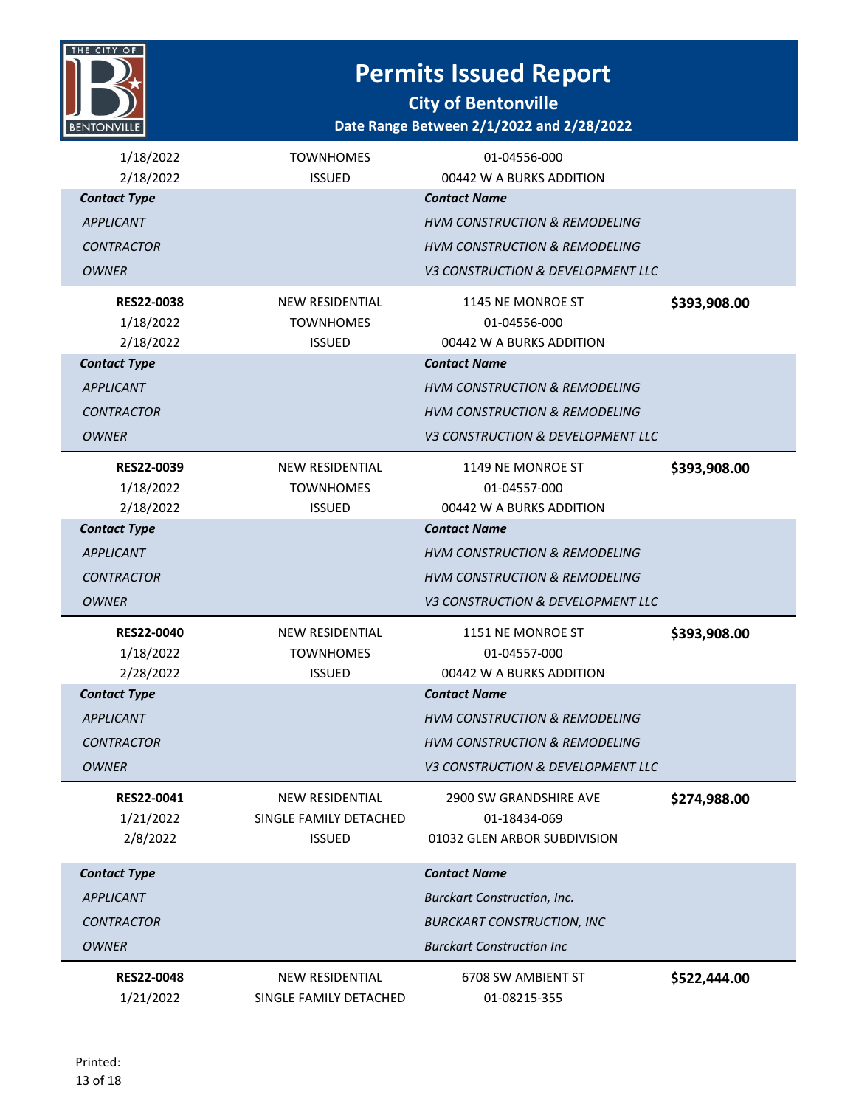

| 1/18/2022<br>2/18/2022 | <b>TOWNHOMES</b><br><b>ISSUED</b> | 01-04556-000<br>00442 W A BURKS ADDITION |              |
|------------------------|-----------------------------------|------------------------------------------|--------------|
| <b>Contact Type</b>    |                                   | <b>Contact Name</b>                      |              |
| <b>APPLICANT</b>       |                                   | <b>HVM CONSTRUCTION &amp; REMODELING</b> |              |
| <b>CONTRACTOR</b>      |                                   | <b>HVM CONSTRUCTION &amp; REMODELING</b> |              |
| <b>OWNER</b>           |                                   | V3 CONSTRUCTION & DEVELOPMENT LLC        |              |
| <b>RES22-0038</b>      | <b>NEW RESIDENTIAL</b>            | 1145 NE MONROE ST                        | \$393,908.00 |
| 1/18/2022              | <b>TOWNHOMES</b>                  | 01-04556-000                             |              |
| 2/18/2022              | <b>ISSUED</b>                     | 00442 W A BURKS ADDITION                 |              |
| <b>Contact Type</b>    |                                   | <b>Contact Name</b>                      |              |
| <b>APPLICANT</b>       |                                   | <b>HVM CONSTRUCTION &amp; REMODELING</b> |              |
| <b>CONTRACTOR</b>      |                                   | <b>HVM CONSTRUCTION &amp; REMODELING</b> |              |
| <b>OWNER</b>           |                                   | V3 CONSTRUCTION & DEVELOPMENT LLC        |              |
| <b>RES22-0039</b>      | <b>NEW RESIDENTIAL</b>            | 1149 NE MONROE ST                        | \$393,908.00 |
| 1/18/2022              | <b>TOWNHOMES</b>                  | 01-04557-000                             |              |
| 2/18/2022              | <b>ISSUED</b>                     | 00442 W A BURKS ADDITION                 |              |
| <b>Contact Type</b>    |                                   | <b>Contact Name</b>                      |              |
| <b>APPLICANT</b>       |                                   | <b>HVM CONSTRUCTION &amp; REMODELING</b> |              |
| <b>CONTRACTOR</b>      |                                   | <b>HVM CONSTRUCTION &amp; REMODELING</b> |              |
| <b>OWNER</b>           |                                   | V3 CONSTRUCTION & DEVELOPMENT LLC        |              |
| <b>RES22-0040</b>      | <b>NEW RESIDENTIAL</b>            | 1151 NE MONROE ST                        | \$393,908.00 |
| 1/18/2022              | <b>TOWNHOMES</b>                  | 01-04557-000                             |              |
| 2/28/2022              | <b>ISSUED</b>                     | 00442 W A BURKS ADDITION                 |              |
| <b>Contact Type</b>    |                                   | <b>Contact Name</b>                      |              |
| <b>APPLICANT</b>       |                                   | <b>HVM CONSTRUCTION &amp; REMODELING</b> |              |
| <b>CONTRACTOR</b>      |                                   | <b>HVM CONSTRUCTION &amp; REMODELING</b> |              |
| <b>OWNER</b>           |                                   | V3 CONSTRUCTION & DEVELOPMENT LLC        |              |
| RES22-0041             | NEW RESIDENTIAL                   | 2900 SW GRANDSHIRE AVE                   | \$274,988.00 |
| 1/21/2022              | SINGLE FAMILY DETACHED            | 01-18434-069                             |              |
| 2/8/2022               | <b>ISSUED</b>                     | 01032 GLEN ARBOR SUBDIVISION             |              |
| <b>Contact Type</b>    |                                   | <b>Contact Name</b>                      |              |
| <b>APPLICANT</b>       |                                   | <b>Burckart Construction, Inc.</b>       |              |
| <b>CONTRACTOR</b>      |                                   | <b>BURCKART CONSTRUCTION, INC</b>        |              |
| <b>OWNER</b>           |                                   | <b>Burckart Construction Inc</b>         |              |
| RES22-0048             | NEW RESIDENTIAL                   | 6708 SW AMBIENT ST                       | \$522,444.00 |
| 1/21/2022              | SINGLE FAMILY DETACHED            | 01-08215-355                             |              |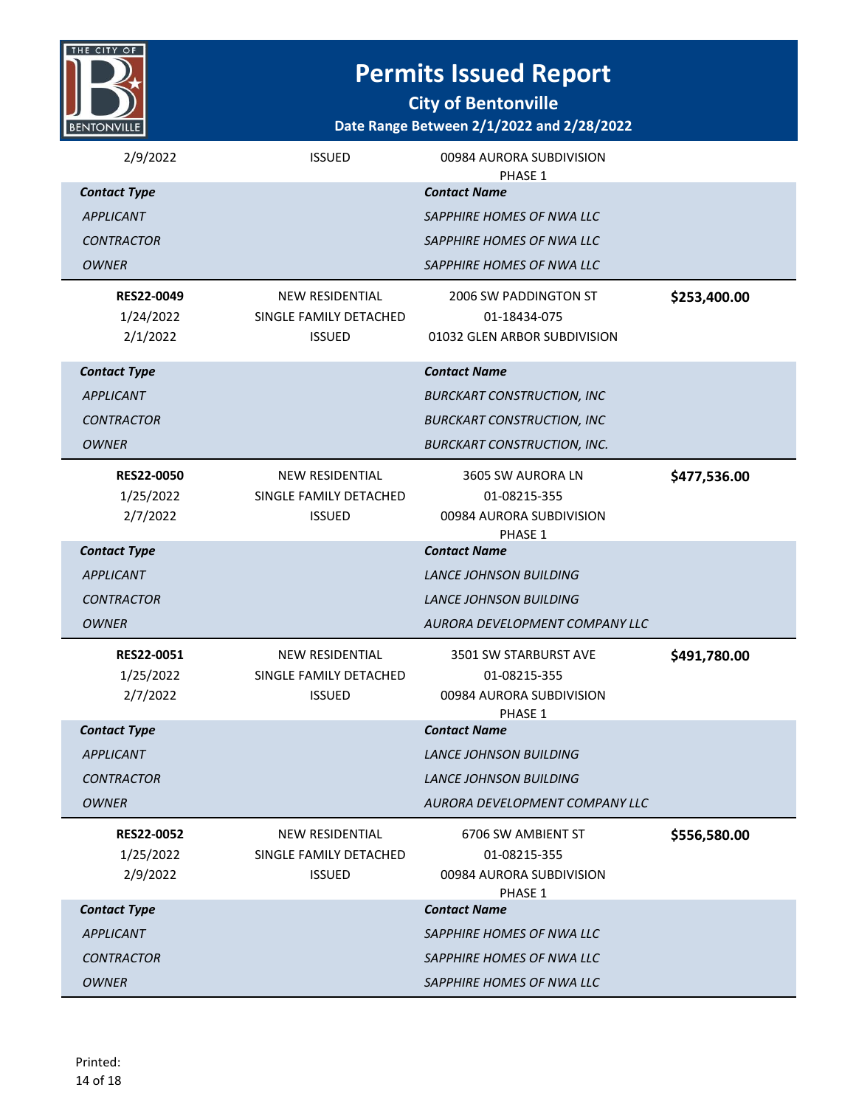

| 2/9/2022            | <b>ISSUED</b>          | 00984 AURORA SUBDIVISION<br>PHASE 1 |              |
|---------------------|------------------------|-------------------------------------|--------------|
| <b>Contact Type</b> |                        | <b>Contact Name</b>                 |              |
| <b>APPLICANT</b>    |                        | SAPPHIRE HOMES OF NWA LLC           |              |
| <b>CONTRACTOR</b>   |                        | SAPPHIRE HOMES OF NWA LLC           |              |
| <b>OWNER</b>        |                        | SAPPHIRE HOMES OF NWA LLC           |              |
| <b>RES22-0049</b>   | <b>NEW RESIDENTIAL</b> | 2006 SW PADDINGTON ST               | \$253,400.00 |
| 1/24/2022           | SINGLE FAMILY DETACHED | 01-18434-075                        |              |
| 2/1/2022            | <b>ISSUED</b>          | 01032 GLEN ARBOR SUBDIVISION        |              |
| <b>Contact Type</b> |                        | <b>Contact Name</b>                 |              |
| <b>APPLICANT</b>    |                        | <b>BURCKART CONSTRUCTION, INC</b>   |              |
| <b>CONTRACTOR</b>   |                        | <b>BURCKART CONSTRUCTION, INC</b>   |              |
| <b>OWNER</b>        |                        | <b>BURCKART CONSTRUCTION, INC.</b>  |              |
| <b>RES22-0050</b>   | <b>NEW RESIDENTIAL</b> | 3605 SW AURORA LN                   | \$477,536.00 |
| 1/25/2022           | SINGLE FAMILY DETACHED | 01-08215-355                        |              |
| 2/7/2022            | <b>ISSUED</b>          | 00984 AURORA SUBDIVISION            |              |
|                     |                        | PHASE 1<br><b>Contact Name</b>      |              |
| <b>Contact Type</b> |                        |                                     |              |
| <b>APPLICANT</b>    |                        | <b>LANCE JOHNSON BUILDING</b>       |              |
| <b>CONTRACTOR</b>   |                        | <b>LANCE JOHNSON BUILDING</b>       |              |
| <b>OWNER</b>        |                        | AURORA DEVELOPMENT COMPANY LLC      |              |
| <b>RES22-0051</b>   | <b>NEW RESIDENTIAL</b> | 3501 SW STARBURST AVE               | \$491,780.00 |
| 1/25/2022           | SINGLE FAMILY DETACHED | 01-08215-355                        |              |
| 2/7/2022            | <b>ISSUED</b>          | 00984 AURORA SUBDIVISION<br>PHASE 1 |              |
| <b>Contact Type</b> |                        | <b>Contact Name</b>                 |              |
| <b>APPLICANT</b>    |                        | <b>LANCE JOHNSON BUILDING</b>       |              |
| <b>CONTRACTOR</b>   |                        | <b>LANCE JOHNSON BUILDING</b>       |              |
| <b>OWNER</b>        |                        | AURORA DEVELOPMENT COMPANY LLC      |              |
| <b>RES22-0052</b>   | <b>NEW RESIDENTIAL</b> | 6706 SW AMBIENT ST                  | \$556,580.00 |
| 1/25/2022           | SINGLE FAMILY DETACHED | 01-08215-355                        |              |
| 2/9/2022            | <b>ISSUED</b>          | 00984 AURORA SUBDIVISION<br>PHASE 1 |              |
| <b>Contact Type</b> |                        | <b>Contact Name</b>                 |              |
| <b>APPLICANT</b>    |                        | SAPPHIRE HOMES OF NWA LLC           |              |
| <b>CONTRACTOR</b>   |                        | SAPPHIRE HOMES OF NWA LLC           |              |
| <b>OWNER</b>        |                        | SAPPHIRE HOMES OF NWA LLC           |              |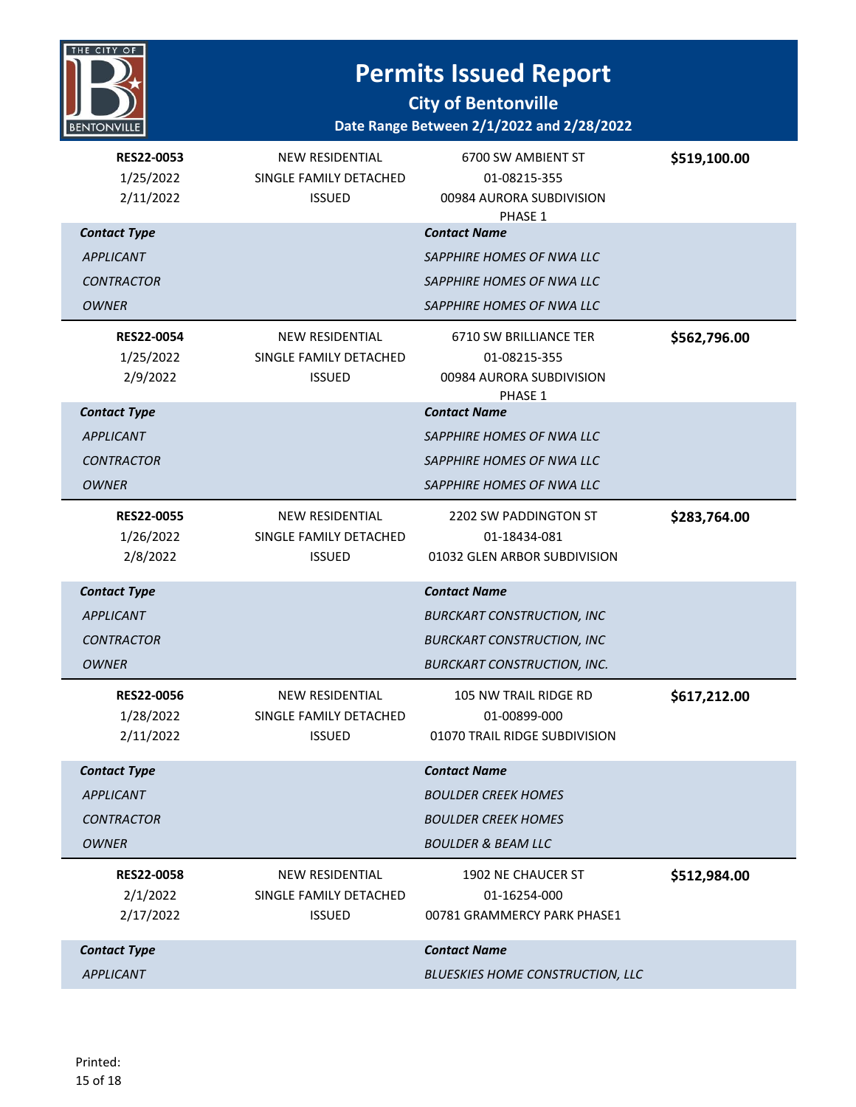

| <b>RES22-0053</b><br>1/25/2022<br>2/11/2022 | <b>NEW RESIDENTIAL</b><br>SINGLE FAMILY DETACHED<br><b>ISSUED</b> | 6700 SW AMBIENT ST<br>01-08215-355<br>00984 AURORA SUBDIVISION<br>PHASE 1 | \$519,100.00 |
|---------------------------------------------|-------------------------------------------------------------------|---------------------------------------------------------------------------|--------------|
| <b>Contact Type</b>                         |                                                                   | <b>Contact Name</b>                                                       |              |
| <b>APPLICANT</b>                            |                                                                   | SAPPHIRE HOMES OF NWA LLC                                                 |              |
| <b>CONTRACTOR</b>                           |                                                                   | SAPPHIRE HOMES OF NWA LLC                                                 |              |
| <b>OWNER</b>                                |                                                                   | SAPPHIRE HOMES OF NWA LLC                                                 |              |
| <b>RES22-0054</b>                           | <b>NEW RESIDENTIAL</b>                                            | <b>6710 SW BRILLIANCE TER</b>                                             | \$562,796.00 |
| 1/25/2022                                   | SINGLE FAMILY DETACHED                                            | 01-08215-355                                                              |              |
| 2/9/2022                                    | <b>ISSUED</b>                                                     | 00984 AURORA SUBDIVISION                                                  |              |
| <b>Contact Type</b>                         |                                                                   | PHASE 1<br><b>Contact Name</b>                                            |              |
| <b>APPLICANT</b>                            |                                                                   | SAPPHIRE HOMES OF NWA LLC                                                 |              |
| <b>CONTRACTOR</b>                           |                                                                   | SAPPHIRE HOMES OF NWA LLC                                                 |              |
| <b>OWNER</b>                                |                                                                   | SAPPHIRE HOMES OF NWA LLC                                                 |              |
| <b>RES22-0055</b>                           | <b>NEW RESIDENTIAL</b>                                            | 2202 SW PADDINGTON ST                                                     | \$283,764.00 |
| 1/26/2022                                   | SINGLE FAMILY DETACHED                                            | 01-18434-081                                                              |              |
| 2/8/2022                                    | <b>ISSUED</b>                                                     | 01032 GLEN ARBOR SUBDIVISION                                              |              |
|                                             |                                                                   |                                                                           |              |
| <b>Contact Type</b>                         |                                                                   | <b>Contact Name</b>                                                       |              |
| <b>APPLICANT</b>                            |                                                                   | <b>BURCKART CONSTRUCTION, INC</b>                                         |              |
| <b>CONTRACTOR</b>                           |                                                                   | <b>BURCKART CONSTRUCTION, INC</b>                                         |              |
| <b>OWNER</b>                                |                                                                   | <b>BURCKART CONSTRUCTION, INC.</b>                                        |              |
| <b>RES22-0056</b>                           | <b>NEW RESIDENTIAL</b>                                            | 105 NW TRAIL RIDGE RD                                                     | \$617,212.00 |
| 1/28/2022                                   | SINGLE FAMILY DETACHED                                            | 01-00899-000                                                              |              |
| 2/11/2022                                   | <b>ISSUED</b>                                                     | 01070 TRAIL RIDGE SUBDIVISION                                             |              |
| <b>Contact Type</b>                         |                                                                   | Contact Name                                                              |              |
| <b>APPLICANT</b>                            |                                                                   | <b>BOULDER CREEK HOMES</b>                                                |              |
| <b>CONTRACTOR</b>                           |                                                                   | <b>BOULDER CREEK HOMES</b>                                                |              |
| <b>OWNER</b>                                |                                                                   | <b>BOULDER &amp; BEAM LLC</b>                                             |              |
| <b>RES22-0058</b>                           | NEW RESIDENTIAL                                                   | 1902 NE CHAUCER ST                                                        | \$512,984.00 |
| 2/1/2022                                    | SINGLE FAMILY DETACHED                                            | 01-16254-000                                                              |              |
| 2/17/2022                                   | <b>ISSUED</b>                                                     | 00781 GRAMMERCY PARK PHASE1                                               |              |
| <b>Contact Type</b>                         |                                                                   | <b>Contact Name</b>                                                       |              |
| <b>APPLICANT</b>                            |                                                                   | BLUESKIES HOME CONSTRUCTION, LLC                                          |              |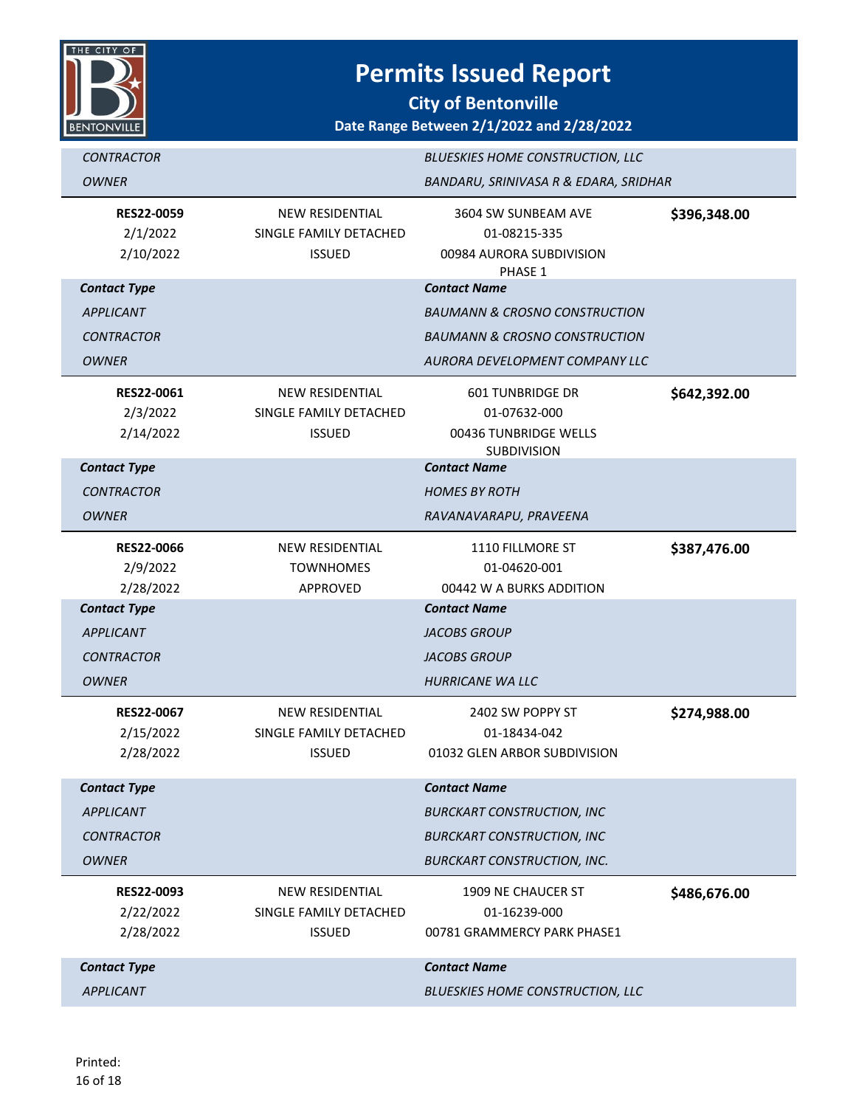

| <b>CONTRACTOR</b>                                                            |                                                                   | <b>BLUESKIES HOME CONSTRUCTION, LLC</b>                                                                                                       |              |
|------------------------------------------------------------------------------|-------------------------------------------------------------------|-----------------------------------------------------------------------------------------------------------------------------------------------|--------------|
| <b>OWNER</b>                                                                 |                                                                   | BANDARU, SRINIVASA R & EDARA, SRIDHAR                                                                                                         |              |
| <b>RES22-0059</b><br>2/1/2022<br>2/10/2022                                   | <b>NEW RESIDENTIAL</b><br>SINGLE FAMILY DETACHED<br><b>ISSUED</b> | 3604 SW SUNBEAM AVE<br>01-08215-335<br>00984 AURORA SUBDIVISION<br>PHASE 1                                                                    | \$396,348.00 |
| <b>Contact Type</b><br><b>APPLICANT</b><br><b>CONTRACTOR</b><br>OWNER        |                                                                   | <b>Contact Name</b><br><b>BAUMANN &amp; CROSNO CONSTRUCTION</b><br><b>BAUMANN &amp; CROSNO CONSTRUCTION</b><br>AURORA DEVELOPMENT COMPANY LLC |              |
| RES22-0061<br>2/3/2022<br>2/14/2022                                          | <b>NEW RESIDENTIAL</b><br>SINGLE FAMILY DETACHED<br><b>ISSUED</b> | <b>601 TUNBRIDGE DR</b><br>01-07632-000<br>00436 TUNBRIDGE WELLS<br><b>SUBDIVISION</b>                                                        | \$642,392.00 |
| <b>Contact Type</b><br><b>CONTRACTOR</b><br>OWNER                            |                                                                   | <b>Contact Name</b><br><b>HOMES BY ROTH</b><br>RAVANAVARAPU, PRAVEENA                                                                         |              |
| <b>RES22-0066</b><br>2/9/2022<br>2/28/2022                                   | <b>NEW RESIDENTIAL</b><br><b>TOWNHOMES</b><br>APPROVED            | 1110 FILLMORE ST<br>01-04620-001<br>00442 W A BURKS ADDITION                                                                                  | \$387,476.00 |
| <b>Contact Type</b><br><b>APPLICANT</b><br><b>CONTRACTOR</b><br><b>OWNER</b> |                                                                   | <b>Contact Name</b><br><b>JACOBS GROUP</b><br><b>JACOBS GROUP</b><br><b>HURRICANE WA LLC</b>                                                  |              |
| <b>RES22-0067</b><br>2/15/2022<br>2/28/2022                                  | <b>NEW RESIDENTIAL</b><br>SINGLE FAMILY DETACHED<br><b>ISSUED</b> | 2402 SW POPPY ST<br>01-18434-042<br>01032 GLEN ARBOR SUBDIVISION                                                                              | \$274,988.00 |
| <b>Contact Type</b><br><b>APPLICANT</b><br><b>CONTRACTOR</b><br><b>OWNER</b> |                                                                   | <b>Contact Name</b><br><b>BURCKART CONSTRUCTION, INC</b><br><b>BURCKART CONSTRUCTION, INC</b><br><b>BURCKART CONSTRUCTION, INC.</b>           |              |
| RES22-0093<br>2/22/2022<br>2/28/2022                                         | <b>NEW RESIDENTIAL</b><br>SINGLE FAMILY DETACHED<br><b>ISSUED</b> | <b>1909 NE CHAUCER ST</b><br>01-16239-000<br>00781 GRAMMERCY PARK PHASE1                                                                      | \$486,676.00 |
| <b>Contact Type</b><br><b>APPLICANT</b>                                      |                                                                   | <b>Contact Name</b><br><b>BLUESKIES HOME CONSTRUCTION, LLC</b>                                                                                |              |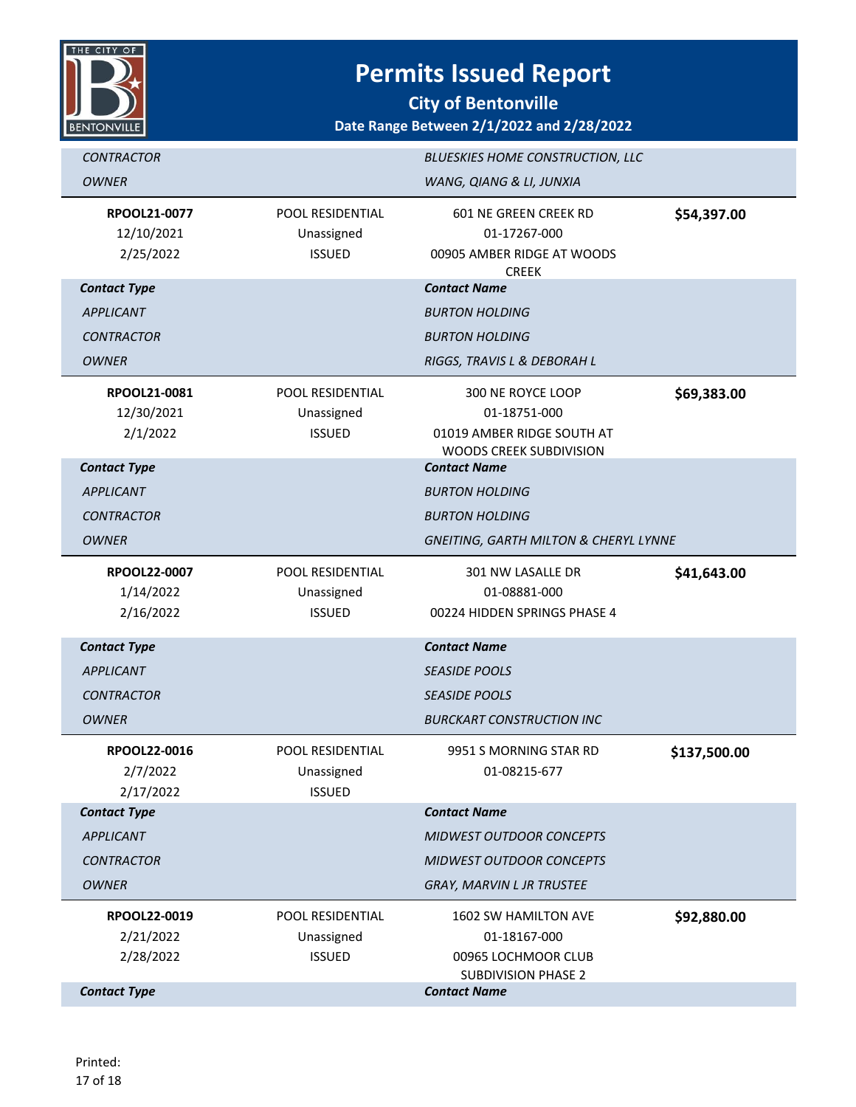

| <b>CONTRACTOR</b>                       |                                                        | <b>BLUESKIES HOME CONSTRUCTION, LLC</b>                                                    |              |
|-----------------------------------------|--------------------------------------------------------|--------------------------------------------------------------------------------------------|--------------|
| <b>OWNER</b>                            |                                                        | WANG, QIANG & LI, JUNXIA                                                                   |              |
| RPOOL21-0077<br>12/10/2021<br>2/25/2022 | POOL RESIDENTIAL<br>Unassigned<br><b>ISSUED</b>        | 601 NE GREEN CREEK RD<br>01-17267-000<br>00905 AMBER RIDGE AT WOODS<br><b>CREEK</b>        | \$54,397.00  |
| <b>Contact Type</b>                     |                                                        | <b>Contact Name</b>                                                                        |              |
| <b>APPLICANT</b>                        |                                                        | <b>BURTON HOLDING</b>                                                                      |              |
| <b>CONTRACTOR</b>                       |                                                        | <b>BURTON HOLDING</b>                                                                      |              |
| <b>OWNER</b>                            |                                                        | RIGGS, TRAVIS L & DEBORAH L                                                                |              |
| RPOOL21-0081<br>12/30/2021<br>2/1/2022  | <b>POOL RESIDENTIAL</b><br>Unassigned<br><b>ISSUED</b> | 300 NE ROYCE LOOP<br>01-18751-000<br>01019 AMBER RIDGE SOUTH AT<br>WOODS CREEK SUBDIVISION | \$69,383.00  |
| <b>Contact Type</b>                     |                                                        | <b>Contact Name</b>                                                                        |              |
| <b>APPLICANT</b>                        |                                                        | <b>BURTON HOLDING</b>                                                                      |              |
| <b>CONTRACTOR</b>                       |                                                        | <b>BURTON HOLDING</b>                                                                      |              |
| <b>OWNER</b>                            |                                                        | <b>GNEITING, GARTH MILTON &amp; CHERYL LYNNE</b>                                           |              |
| RPOOL22-0007<br>1/14/2022<br>2/16/2022  | <b>POOL RESIDENTIAL</b><br>Unassigned<br><b>ISSUED</b> | 301 NW LASALLE DR<br>01-08881-000<br>00224 HIDDEN SPRINGS PHASE 4                          | \$41,643.00  |
| <b>Contact Type</b>                     |                                                        | <b>Contact Name</b>                                                                        |              |
| <b>APPLICANT</b>                        |                                                        | <b>SEASIDE POOLS</b>                                                                       |              |
| <b>CONTRACTOR</b>                       |                                                        | <b>SEASIDE POOLS</b>                                                                       |              |
| <b>OWNER</b>                            |                                                        | <b>BURCKART CONSTRUCTION INC</b>                                                           |              |
| RPOOL22-0016<br>2/7/2022<br>2/17/2022   | <b>POOL RESIDENTIAL</b><br>Unassigned<br><b>ISSUED</b> | 9951 S MORNING STAR RD<br>01-08215-677                                                     | \$137,500.00 |
| <b>Contact Type</b>                     |                                                        | <b>Contact Name</b>                                                                        |              |
| <b>APPLICANT</b>                        |                                                        | <b>MIDWEST OUTDOOR CONCEPTS</b>                                                            |              |
| <b>CONTRACTOR</b>                       |                                                        | <b>MIDWEST OUTDOOR CONCEPTS</b>                                                            |              |
| <b>OWNER</b>                            |                                                        | GRAY, MARVIN L JR TRUSTEE                                                                  |              |
| RPOOL22-0019<br>2/21/2022<br>2/28/2022  | POOL RESIDENTIAL<br>Unassigned<br><b>ISSUED</b>        | 1602 SW HAMILTON AVE<br>01-18167-000<br>00965 LOCHMOOR CLUB<br><b>SUBDIVISION PHASE 2</b>  | \$92,880.00  |
| <b>Contact Type</b>                     |                                                        | <b>Contact Name</b>                                                                        |              |